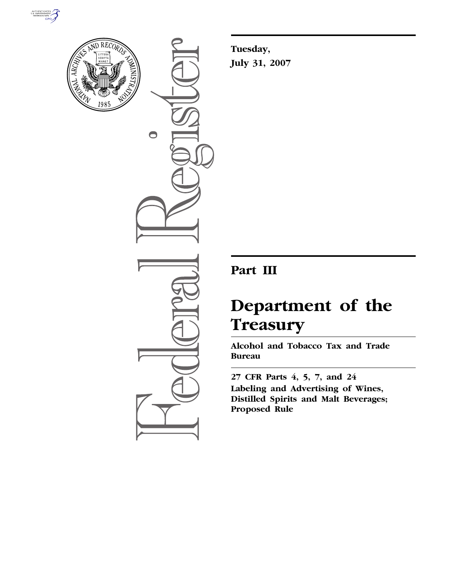



 $\bullet$ 

**Tuesday, July 31, 2007** 

## **Part III**

# **Department of the Treasury**

**Alcohol and Tobacco Tax and Trade Bureau** 

**27 CFR Parts 4, 5, 7, and 24 Labeling and Advertising of Wines, Distilled Spirits and Malt Beverages; Proposed Rule**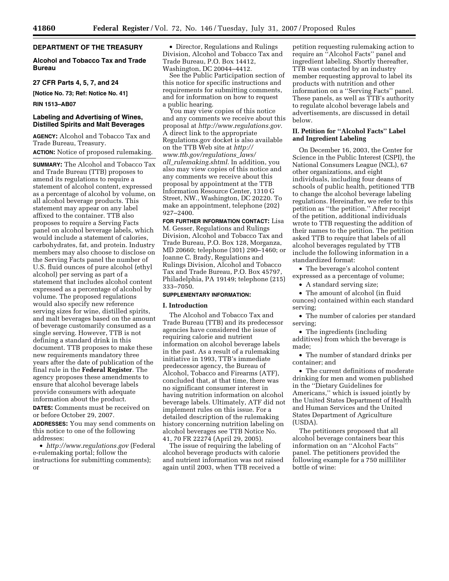#### **DEPARTMENT OF THE TREASURY**

#### **Alcohol and Tobacco Tax and Trade Bureau**

#### **27 CFR Parts 4, 5, 7, and 24**

**[Notice No. 73; Ref: Notice No. 41]** 

#### **RIN 1513–AB07**

#### **Labeling and Advertising of Wines, Distilled Spirits and Malt Beverages**

**AGENCY:** Alcohol and Tobacco Tax and Trade Bureau, Treasury. **ACTION:** Notice of proposed rulemaking.

**SUMMARY:** The Alcohol and Tobacco Tax and Trade Bureau (TTB) proposes to amend its regulations to require a statement of alcohol content, expressed as a percentage of alcohol by volume, on all alcohol beverage products. This statement may appear on any label affixed to the container. TTB also proposes to require a Serving Facts panel on alcohol beverage labels, which would include a statement of calories, carbohydrates, fat, and protein. Industry members may also choose to disclose on the Serving Facts panel the number of U.S. fluid ounces of pure alcohol (ethyl alcohol) per serving as part of a statement that includes alcohol content expressed as a percentage of alcohol by volume. The proposed regulations would also specify new reference serving sizes for wine, distilled spirits, and malt beverages based on the amount of beverage customarily consumed as a single serving. However, TTB is not defining a standard drink in this document. TTB proposes to make these new requirements mandatory three years after the date of publication of the final rule in the **Federal Register**. The agency proposes these amendments to ensure that alcohol beverage labels provide consumers with adequate information about the product.

**DATES:** Comments must be received on or before October 29, 2007.

**ADDRESSES:** You may send comments on this notice to one of the following addresses:

• *http://www.regulations.gov* (Federal e-rulemaking portal; follow the instructions for submitting comments); or

• Director, Regulations and Rulings Division, Alcohol and Tobacco Tax and Trade Bureau, P.O. Box 14412, Washington, DC 20044–4412.

See the Public Participation section of this notice for specific instructions and requirements for submitting comments, and for information on how to request a public hearing.

You may view copies of this notice and any comments we receive about this proposal at *http://www.regulations.gov.*  A direct link to the appropriate Regulations.gov docket is also available on the TTB Web site at *http:// www.ttb.gov/regulations*\_*laws/ all*\_*rulemaking.shtml.* In addition, you also may view copies of this notice and any comments we receive about this proposal by appointment at the TTB Information Resource Center, 1310 G Street, NW., Washington, DC 20220. To make an appointment, telephone (202) 927–2400.

**FOR FURTHER INFORMATION CONTACT:** Lisa M. Gesser, Regulations and Rulings Division, Alcohol and Tobacco Tax and Trade Bureau, P.O. Box 128, Morganza, MD 20660; telephone (301) 290–1460; or Joanne C. Brady, Regulations and Rulings Division, Alcohol and Tobacco Tax and Trade Bureau, P.O. Box 45797, Philadelphia, PA 19149; telephone (215) 333–7050.

#### **SUPPLEMENTARY INFORMATION:**

#### **I. Introduction**

The Alcohol and Tobacco Tax and Trade Bureau (TTB) and its predecessor agencies have considered the issue of requiring calorie and nutrient information on alcohol beverage labels in the past. As a result of a rulemaking initiative in 1993, TTB's immediate predecessor agency, the Bureau of Alcohol, Tobacco and Firearms (ATF), concluded that, at that time, there was no significant consumer interest in having nutrition information on alcohol beverage labels. Ultimately, ATF did not implement rules on this issue. For a detailed description of the rulemaking history concerning nutrition labeling on alcohol beverages see TTB Notice No. 41, 70 FR 22274 (April 29, 2005).

The issue of requiring the labeling of alcohol beverage products with calorie and nutrient information was not raised again until 2003, when TTB received a

petition requesting rulemaking action to require an ''Alcohol Facts'' panel and ingredient labeling. Shortly thereafter, TTB was contacted by an industry member requesting approval to label its products with nutrition and other information on a ''Serving Facts'' panel. These panels, as well as TTB's authority to regulate alcohol beverage labels and advertisements, are discussed in detail below.

#### **II. Petition for ''Alcohol Facts'' Label and Ingredient Labeling**

On December 16, 2003, the Center for Science in the Public Interest (CSPI), the National Consumers League (NCL), 67 other organizations, and eight individuals, including four deans of schools of public health, petitioned TTB to change the alcohol beverage labeling regulations. Hereinafter, we refer to this petition as ''the petition.'' After receipt of the petition, additional individuals wrote to TTB requesting the addition of their names to the petition. The petition asked TTB to require that labels of all alcohol beverages regulated by TTB include the following information in a standardized format:

• The beverage's alcohol content expressed as a percentage of volume;

• A standard serving size;

• The amount of alcohol (in fluid ounces) contained within each standard serving;

• The number of calories per standard serving;

• The ingredients (including additives) from which the beverage is made;

• The number of standard drinks per container; and

• The current definitions of moderate drinking for men and women published in the ''Dietary Guidelines for Americans,'' which is issued jointly by the United States Department of Health and Human Services and the United States Department of Agriculture (USDA).

The petitioners proposed that all alcohol beverage containers bear this information on an ''Alcohol Facts'' panel. The petitioners provided the following example for a 750 milliliter bottle of wine: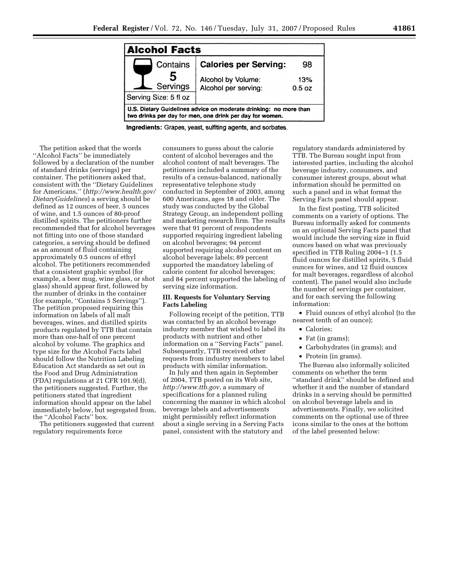

Ingredients: Grapes, yeast, sulfiting agents, and sorbates.

The petition asked that the words ''Alcohol Facts'' be immediately followed by a declaration of the number of standard drinks (servings) per container. The petitioners asked that, consistent with the ''Dietary Guidelines for Americans,'' (*http://www.health.gov/ DietaryGuidelines*) a serving should be defined as 12 ounces of beer, 5 ounces of wine, and 1.5 ounces of 80-proof distilled spirits. The petitioners further recommended that for alcohol beverages not fitting into one of those standard categories, a serving should be defined as an amount of fluid containing approximately 0.5 ounces of ethyl alcohol. The petitioners recommended that a consistent graphic symbol (for example, a beer mug, wine glass, or shot glass) should appear first, followed by the number of drinks in the container (for example, ''Contains 5 Servings''). The petition proposed requiring this information on labels of all malt beverages, wines, and distilled spirits products regulated by TTB that contain more than one-half of one percent alcohol by volume. The graphics and type size for the Alcohol Facts label should follow the Nutrition Labeling Education Act standards as set out in the Food and Drug Administration (FDA) regulations at 21 CFR 101.9(d), the petitioners suggested. Further, the petitioners stated that ingredient information should appear on the label immediately below, but segregated from, the ''Alcohol Facts'' box.

The petitioners suggested that current regulatory requirements force

consumers to guess about the calorie content of alcohol beverages and the alcohol content of malt beverages. The petitioners included a summary of the results of a census-balanced, nationally representative telephone study conducted in September of 2003, among 600 Americans, ages 18 and older. The study was conducted by the Global Strategy Group, an independent polling and marketing research firm. The results were that 91 percent of respondents supported requiring ingredient labeling on alcohol beverages; 94 percent supported requiring alcohol content on alcohol beverage labels; 89 percent supported the mandatory labeling of calorie content for alcohol beverages; and 84 percent supported the labeling of serving size information.

#### **III. Requests for Voluntary Serving Facts Labeling**

Following receipt of the petition, TTB was contacted by an alcohol beverage industry member that wished to label its products with nutrient and other information on a ''Serving Facts'' panel. Subsequently, TTB received other requests from industry members to label products with similar information.

In July and then again in September of 2004, TTB posted on its Web site, *http://www.ttb.gov*, a summary of specifications for a planned ruling concerning the manner in which alcohol beverage labels and advertisements might permissibly reflect information about a single serving in a Serving Facts panel, consistent with the statutory and

regulatory standards administered by TTB. The Bureau sought input from interested parties, including the alcohol beverage industry, consumers, and consumer interest groups, about what information should be permitted on such a panel and in what format the Serving Facts panel should appear.

In the first posting, TTB solicited comments on a variety of options. The Bureau informally asked for comments on an optional Serving Facts panel that would include the serving size in fluid ounces based on what was previously specified in TTB Ruling 2004–1 (1.5 fluid ounces for distilled spirits, 5 fluid ounces for wines, and 12 fluid ounces for malt beverages, regardless of alcohol content). The panel would also include the number of servings per container, and for each serving the following information:

• Fluid ounces of ethyl alcohol (to the nearest tenth of an ounce);

- Calories;
- Fat (in grams);
- Carbohydrates (in grams); and
- Protein (in grams).

The Bureau also informally solicited comments on whether the term ''standard drink'' should be defined and whether it and the number of standard drinks in a serving should be permitted on alcohol beverage labels and in advertisements. Finally, we solicited comments on the optional use of three icons similar to the ones at the bottom of the label presented below: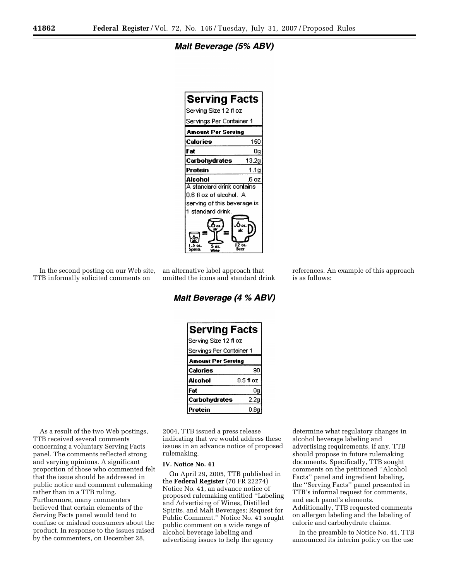**Malt Beverage (5% ABV)** 

| <b>Serving Facts</b>        |       |  |
|-----------------------------|-------|--|
| Serving Size 12 fl oz       |       |  |
| Servings Per Container 1    |       |  |
| Amount Per Servina          |       |  |
| Calories                    | 150   |  |
| Fat                         | Ūq    |  |
| Carbohydrates               | 13.2g |  |
| Protein                     | 1.1q  |  |
| Alcohol                     | .6 oz |  |
| A standard drink contains   |       |  |
| 0.6 fl oz of alcohol. A     |       |  |
| serving of this beverage is |       |  |
| 1 standard drink.           |       |  |
| œ.<br>÷                     |       |  |

In the second posting on our Web site, TTB informally solicited comments on

an alternative label approach that omitted the icons and standard drink

Malt Beverage (4 % ABV)

| <b>Serving Facts</b>      |                          |  |  |
|---------------------------|--------------------------|--|--|
| Serving Size 12 fl oz     |                          |  |  |
|                           | Servings Per Container 1 |  |  |
| <b>Amount Per Serving</b> |                          |  |  |
| Calories                  | 90                       |  |  |
| Alcohol                   | 0.5 fl oz                |  |  |
| Fat                       | 0q                       |  |  |
| Carbohydrates             | 2.2 <sub>g</sub>         |  |  |
| Protein                   | 0.8a                     |  |  |

As a result of the two Web postings, TTB received several comments concerning a voluntary Serving Facts panel. The comments reflected strong and varying opinions. A significant proportion of those who commented felt that the issue should be addressed in public notice and comment rulemaking rather than in a TTB ruling. Furthermore, many commenters believed that certain elements of the Serving Facts panel would tend to confuse or mislead consumers about the product. In response to the issues raised by the commenters, on December 28,

2004, TTB issued a press release indicating that we would address these issues in an advance notice of proposed rulemaking.

#### **IV. Notice No. 41**

On April 29, 2005, TTB published in the **Federal Register** (70 FR 22274) Notice No. 41, an advance notice of proposed rulemaking entitled ''Labeling and Advertising of Wines, Distilled Spirits, and Malt Beverages; Request for Public Comment.'' Notice No. 41 sought public comment on a wide range of alcohol beverage labeling and advertising issues to help the agency

determine what regulatory changes in alcohol beverage labeling and advertising requirements, if any, TTB should propose in future rulemaking documents. Specifically, TTB sought comments on the petitioned ''Alcohol Facts'' panel and ingredient labeling, the ''Serving Facts'' panel presented in TTB's informal request for comments, and each panel's elements. Additionally, TTB requested comments on allergen labeling and the labeling of calorie and carbohydrate claims.

references. An example of this approach

is as follows:

In the preamble to Notice No. 41, TTB announced its interim policy on the use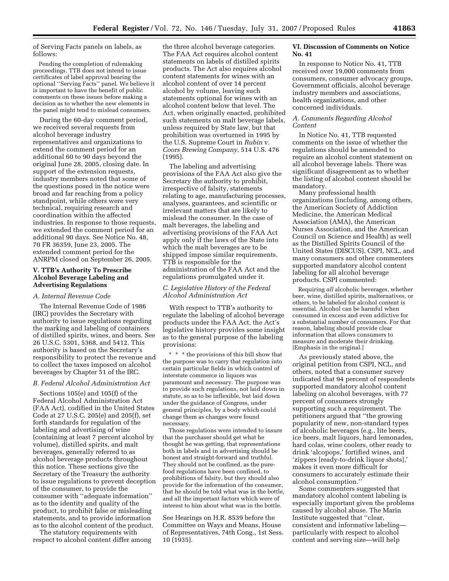of Serving Facts panels on labels, as follows:

Pending the completion of rulemaking proceedings, TTB does not intend to issue certificates of label approval bearing the optional ''Serving Facts'' panel. We believe it is important to have the benefit of public comments on these issues before making a decision as to whether the new elements in the panel might tend to mislead consumers.

During the 60-day comment period, we received several requests from alcohol beverage industry representatives and organizations to extend the comment period for an additional 60 to 90 days beyond the original June 28, 2005, closing date. In support of the extension requests, industry members noted that some of the questions posed in the notice were broad and far reaching from a policy standpoint, while others were very technical, requiring research and coordination within the affected industries. In response to those requests, we extended the comment period for an additional 90 days. See Notice No. 48, 70 FR 36359, June 23, 2005. The extended comment period for the ANRPM closed on September 26, 2005.

#### **V. TTB's Authority To Prescribe Alcohol Beverage Labeling and Advertising Regulations**

#### *A. Internal Revenue Code*

The Internal Revenue Code of 1986 (IRC) provides the Secretary with authority to issue regulations regarding the marking and labeling of containers of distilled spirits, wines, and beers. See 26 U.S.C. 5301, 5368, and 5412. This authority is based on the Secretary's responsibility to protect the revenue and to collect the taxes imposed on alcohol beverages by Chapter 51 of the IRC.

#### *B. Federal Alcohol Administration Act*

Sections 105(e) and 105(f) of the Federal Alcohol Administration Act (FAA Act), codified in the United States Code at 27 U.S.C. 205(e) and 205(f), set forth standards for regulation of the labeling and advertising of wine (containing at least 7 percent alcohol by volume), distilled spirits, and malt beverages, generally referred to as alcohol beverage products throughout this notice. These sections give the Secretary of the Treasury the authority to issue regulations to prevent deception of the consumer, to provide the consumer with ''adequate information'' as to the identity and quality of the product, to prohibit false or misleading statements, and to provide information as to the alcohol content of the product.

The statutory requirements with respect to alcohol content differ among

the three alcohol beverage categories. The FAA Act requires alcohol content statements on labels of distilled spirits products. The Act also requires alcohol content statements for wines with an alcohol content of over 14 percent alcohol by volume, leaving such statements optional for wines with an alcohol content below that level. The Act, when originally enacted, prohibited such statements on malt beverage labels, unless required by State law, but that prohibition was overturned in 1995 by the U.S. Supreme Court in *Rubin* v. *Coors Brewing Company*, 514 U.S. 476 (1995).

The labeling and advertising provisions of the FAA Act also give the Secretary the authority to prohibit, irrespective of falsity, statements relating to age, manufacturing processes, analyses, guarantees, and scientific or irrelevant matters that are likely to mislead the consumer. In the case of malt beverages, the labeling and advertising provisions of the FAA Act apply only if the laws of the State into which the malt beverages are to be shipped impose similar requirements. TTB is responsible for the administration of the FAA Act and the regulations promulgated under it.

#### *C. Legislative History of the Federal Alcohol Administration Act*

With respect to TTB's authority to regulate the labeling of alcohol beverage products under the FAA Act, the Act's legislative history provides some insight as to the general purpose of the labeling provisions:

\* \* \* the provisions of this bill show that the purpose was to carry that regulation into certain particular fields in which control of interstate commerce in liquors was paramount and necessary. The purpose was to provide such regulations, not laid down in statute, so as to be inflexible, but laid down under the guidance of Congress, under general principles, by a body which could change them as changes were found necessary.

Those regulations were intended to insure that the purchaser should get what he thought he was getting, that representations both in labels and in advertising should be honest and straight-forward and truthful. They should not be confined, as the purefood regulations have been confined, to prohibitions of falsity, but they should also provide for the information of the consumer, that he should be told what was in the bottle, and all the important factors which were of interest to him about what was in the bottle.

See Hearings on H.R. 8539 before the Committee on Ways and Means, House of Representatives, 74th Cong., 1st Sess. 10 (1935).

#### **VI. Discussion of Comments on Notice No. 41**

In response to Notice No. 41, TTB received over 19,000 comments from consumers, consumer advocacy groups, Government officials, alcohol beverage industry members and associations, health organizations, and other concerned individuals.

#### *A. Comments Regarding Alcohol Content*

In Notice No. 41, TTB requested comments on the issue of whether the regulations should be amended to require an alcohol content statement on all alcohol beverage labels. There was significant disagreement as to whether the listing of alcohol content should be mandatory.

Many professional health organizations (including, among others, the American Society of Addiction Medicine, the American Medical Association (AMA), the American Nurses Association, and the American Council on Science and Health) as well as the Distilled Spirits Council of the United States (DISCUS), CSPI, NCL, and many consumers and other commenters supported mandatory alcohol content labeling for all alcohol beverage products. CSPI commented:

Requiring *all* alcoholic beverages, whether beer, wine, distilled spirits, malternatives, or others, to be labeled for alcohol content is essential. Alcohol can be harmful when consumed in excess and even addictive for a substantial number of consumers. For that reason, labeling should provide clear information that allows consumers to measure and moderate their drinking. [Emphasis in the original.]

As previously stated above, the original petition from CSPI, NCL, and others, noted that a consumer survey indicated that 94 percent of respondents supported mandatory alcohol content labeling on alcohol beverages, with 77 percent of consumers strongly supporting such a requirement. The petitioners argued that ''the growing popularity of new, non-standard types of alcoholic beverages (e.g., lite beers, ice beers, malt liquors, hard lemonades, hard colas, wine coolers, other ready to drink 'alcopops,' fortified wines, and 'zippers [ready-to-drink liquor shots],' makes it even more difficult for consumers to accurately estimate their alcohol consumption.''

Some commenters suggested that mandatory alcohol content labeling is especially important given the problems caused by alcohol abuse. The Marin Institute suggested that ''clear, consistent and informative labeling particularly with respect to alcohol content and serving size—will help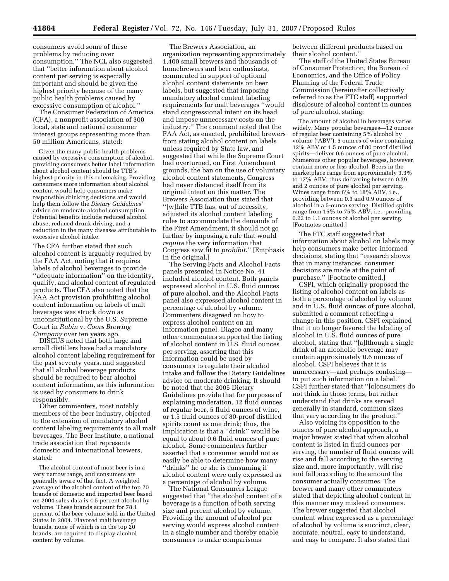consumers avoid some of these problems by reducing over consumption.'' The NCL also suggested that ''better information about alcohol content per serving is especially important and should be given the highest priority because of the many public health problems caused by excessive consumption of alcohol.''

The Consumer Federation of America (CFA), a nonprofit association of 300 local, state and national consumer interest groups representing more than 50 million Americans, stated:

Given the many public health problems caused by excessive consumption of alcohol, providing consumers better label information about alcohol content should be TTB's highest priority in this rulemaking. Providing consumers more information about alcohol content would help consumers make responsible drinking decisions and would help them follow the *Dietary Guidelines'*  advice on moderate alcohol consumption. Potential benefits include reduced alcohol abuse, reduced drunk driving, and a reduction in the many diseases attributable to excessive alcohol intake.

The CFA further stated that such alcohol content is arguably required by the FAA Act, noting that it requires labels of alcohol beverages to provide ''adequate information'' on the identity, quality, and alcohol content of regulated products. The CFA also noted that the FAA Act provision prohibiting alcohol content information on labels of malt beverages was struck down as unconstitutional by the U.S. Supreme Court in *Rubin* v. *Coors Brewing Company* over ten years ago.

DISCUS noted that both large and small distillers have had a mandatory alcohol content labeling requirement for the past seventy years, and suggested that all alcohol beverage products should be required to bear alcohol content information, as this information is used by consumers to drink responsibly.

Other commenters, most notably members of the beer industry, objected to the extension of mandatory alcohol content labeling requirements to all malt beverages. The Beer Institute, a national trade association that represents domestic and international brewers, stated:

The alcohol content of most beer is in a very narrow range, and consumers are generally aware of that fact. A weighted average of the alcohol content of the top 20 brands of domestic and imported beer based on 2004 sales data is 4.5 percent alcohol by volume. These brands account for 78.1 percent of the beer volume sold in the United States in 2004. Flavored malt beverage brands, none of which is in the top 20 brands, are required to display alcohol content by volume.

The Brewers Association, an organization representing approximately 1,400 small brewers and thousands of homebrewers and beer enthusiasts, commented in support of optional alcohol content statements on beer labels, but suggested that imposing mandatory alcohol content labeling requirements for malt beverages ''would stand congressional intent on its head and impose unnecessary costs on the industry.'' The comment noted that the FAA Act, as enacted, prohibited brewers from stating alcohol content on labels unless required by State law, and suggested that while the Supreme Court had overturned, on First Amendment grounds, the ban on the use of voluntary alcohol content statements, Congress had never distanced itself from its original intent on this matter. The Brewers Association thus stated that ''[w]hile TTB has, out of necessity, adjusted its alcohol content labeling rules to accommodate the demands of the First Amendment, it should not go further by imposing a rule that would *require* the very information that Congress saw fit to *prohibit*.'' [Emphasis in the original.]

The Serving Facts and Alcohol Facts panels presented in Notice No. 41 included alcohol content. Both panels expressed alcohol in U.S. fluid ounces of pure alcohol, and the Alcohol Facts panel also expressed alcohol content in percentage of alcohol by volume. Commenters disagreed on how to express alcohol content on an information panel. Diageo and many other commenters supported the listing of alcohol content in U.S. fluid ounces per serving, asserting that this information could be used by consumers to regulate their alcohol intake and follow the Dietary Guidelines advice on moderate drinking. It should be noted that the 2005 Dietary Guidelines provide that for purposes of explaining moderation, 12 fluid ounces of regular beer, 5 fluid ounces of wine, or 1.5 fluid ounces of 80-proof distilled spirits count as one drink; thus, the implication is that a ''drink'' would be equal to about 0.6 fluid ounces of pure alcohol. Some commenters further asserted that a consumer would not as easily be able to determine how many ''drinks'' he or she is consuming if alcohol content were only expressed as a percentage of alcohol by volume.

The National Consumers League suggested that ''the alcohol content of a beverage is a function of both serving size and percent alcohol by volume. Providing the amount of alcohol per serving would express alcohol content in a single number and thereby enable consumers to make comparisons

between different products based on their alcohol content.''

The staff of the United States Bureau of Consumer Protection, the Bureau of Economics, and the Office of Policy Planning of the Federal Trade Commission (hereinafter collectively referred to as the FTC staff) supported disclosure of alcohol content in ounces of pure alcohol, stating:

The amount of alcohol in beverages varies widely. Many popular beverages—12 ounces of regular beer containing 5% alcohol by volume ('ABV'), 5 ounces of wine containing 12% ABV or 1.5 ounces of 80 proof distilled spirits—deliver 0.6 ounces of pure alcohol. Numerous other popular beverages, however, contain more or less alcohol. Beers in the marketplace range from approximately 3.3% to 17% ABV, thus delivering between 0.39 and 2 ounces of pure alcohol per serving. Wines range from 6% to 18% ABV, i.e., providing between 0.3 and 0.9 ounces of alcohol in a 5-ounce serving. Distilled spirits range from 15% to 75% ABV, i.e., providing 0.22 to 1.1 ounces of alcohol per serving. [Footnotes omitted.]

The FTC staff suggested that information about alcohol on labels may help consumers make better-informed decisions, stating that ''research shows that in many instances, consumer decisions are made at the point of purchase.'' [Footnote omitted.]

CSPI, which originally proposed the listing of alcohol content on labels as both a percentage of alcohol by volume and in U.S. fluid ounces of pure alcohol, submitted a comment reflecting a change in this position. CSPI explained that it no longer favored the labeling of alcohol in U.S. fluid ounces of pure alcohol, stating that ''[a]lthough a single drink of an alcoholic beverage may contain approximately 0.6 ounces of alcohol, CSPI believes that it is unnecessary—and perhaps confusing to put such information on a label.'' CSPI further stated that ''[c]onsumers do not think in those terms, but rather understand that drinks are served generally in standard, common sizes that vary according to the product.''

Also voicing its opposition to the ounces of pure alcohol approach, a major brewer stated that when alcohol content is listed in fluid ounces per serving, the number of fluid ounces will rise and fall according to the serving size and, more importantly, will rise and fall according to the amount the consumer actually consumes. The brewer and many other commenters stated that depicting alcohol content in this manner may mislead consumers. The brewer suggested that alcohol content when expressed as a percentage of alcohol by volume is succinct, clear, accurate, neutral, easy to understand, and easy to compare. It also stated that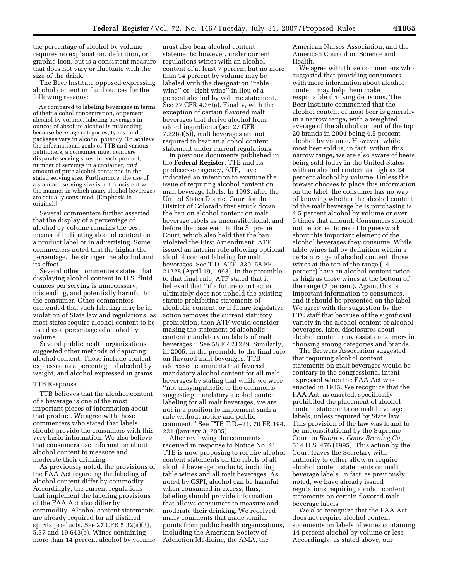the percentage of alcohol by volume requires no explanation, definition, or graphic icon, but is a consistent measure that does not vary or fluctuate with the size of the drink.

The Beer Institute opposed expressing alcohol content in fluid ounces for the following reasons:

As compared to labeling beverages in terms of their alcohol concentration, or percent alcohol by volume, labeling beverages in ounces of absolute alcohol is misleading because beverage categories, types, and packages vary in alcohol potency. To achieve the informational goals of TTB and various petitioners, a consumer must compare disparate serving sizes for each product, number of servings in a container, *and*  amount of pure alcohol contained in the stated serving size. Furthermore, the use of a standard serving size is not consistent with the manner in which many alcohol beverages are actually consumed. [Emphasis in original.]

Several commenters further asserted that the display of a percentage of alcohol by volume remains the best means of indicating alcohol content on a product label or in advertising. Some commenters noted that the higher the percentage, the stronger the alcohol and its effect.

Several other commenters stated that displaying alcohol content in U.S. fluid ounces per serving is unnecessary, misleading, and potentially harmful to the consumer. Other commenters contended that such labeling may be in violation of State law and regulations, as most states require alcohol content to be listed as a percentage of alcohol by volume.

Several public health organizations suggested other methods of depicting alcohol content. These include content expressed as a percentage of alcohol by weight, and alcohol expressed in grams.

#### TTB Response

TTB believes that the alcohol content of a beverage is one of the most important pieces of information about that product. We agree with those commenters who stated that labels should provide the consumers with this very basic information. We also believe that consumers use information about alcohol content to measure and moderate their drinking.

As previously noted, the provisions of the FAA Act regarding the labeling of alcohol content differ by commodity. Accordingly, the current regulations that implement the labeling provisions of the FAA Act also differ by commodity. Alcohol content statements are already required for all distilled spirits products. See 27 CFR 5.32(a)(3), 5.37 and 19.643(b). Wines containing more than 14 percent alcohol by volume

must also bear alcohol content statements; however, under current regulations wines with an alcohol content of at least 7 percent but no more than 14 percent by volume may be labeled with the designation ''table wine'' or ''light wine'' in lieu of a percent alcohol by volume statement. See 27 CFR 4.36(a). Finally, with the exception of certain flavored malt beverages that derive alcohol from added ingredients (see 27 CFR 7.22(a)(5)), malt beverages are not required to bear an alcohol content statement under current regulations.

In previous documents published in the **Federal Register**, TTB and its predecessor agency, ATF, have indicated an intention to examine the issue of requiring alcohol content on malt beverage labels. In 1993, after the United States District Court for the District of Colorado first struck down the ban on alcohol content on malt beverage labels as unconstitutional, and before the case went to the Supreme Court, which also held that the ban violated the First Amendment, ATF issued an interim rule allowing optional alcohol content labeling for malt beverages. See T.D. ATF–339, 58 FR 21228 (April 19, 1993). In the preamble to that final rule, ATF stated that it believed that ''if a future court action ultimately does not uphold the existing statute prohibiting statements of alcoholic content, or if future legislative action removes the current statutory prohibition, then ATF would consider making the statement of alcoholic content mandatory on labels of malt beverages.'' See 58 FR 21229. Similarly, in 2005, in the preamble to the final rule on flavored malt beverages, TTB addressed comments that favored mandatory alcohol content for all malt beverages by stating that while we were ''not unsympathetic to the comments suggesting mandatory alcohol content labeling for all malt beverages, we are not in a position to implement such a rule without notice and public comment.'' See TTB T.D.–21, 70 FR 194, 221 (January 3, 2005).

After reviewing the comments received in response to Notice No. 41, TTB is now proposing to require alcohol content statements on the labels of all alcohol beverage products, including table wines and all malt beverages. As noted by CSPI, alcohol can be harmful when consumed in excess; thus, labeling should provide information that allows consumers to measure and moderate their drinking. We received many comments that made similar points from public health organizations, including the American Society of Addiction Medicine, the AMA, the

American Nurses Association, and the American Council on Science and Health.

We agree with those commenters who suggested that providing consumers with more information about alcohol content may help them make responsible drinking decisions. The Beer Institute commented that the alcohol content of most beer is generally in a narrow range, with a weighted average of the alcohol content of the top 20 brands in 2004 being 4.5 percent alcohol by volume. However, while most beer sold is, in fact, within this narrow range, we are also aware of beers being sold today in the United States with an alcohol content as high as 24 percent alcohol by volume. Unless the brewer chooses to place this information on the label, the consumer has no way of knowing whether the alcohol content of the malt beverage he is purchasing is 4.5 percent alcohol by volume or over 5 times that amount. Consumers should not be forced to resort to guesswork about this important element of the alcohol beverages they consume. While table wines fall by definition within a certain range of alcohol content, those wines at the top of the range (14 percent) have an alcohol content twice as high as those wines at the bottom of the range (7 percent). Again, this is important information to consumers, and it should be presented on the label. We agree with the suggestion by the FTC staff that because of the significant variety in the alcohol content of alcohol beverages, label disclosures about alcohol content may assist consumers in choosing among categories and brands.

The Brewers Association suggested that requiring alcohol content statements on malt beverages would be contrary to the congressional intent expressed when the FAA Act was enacted in 1935. We recognize that the FAA Act, as enacted, specifically prohibited the placement of alcohol content statements on malt beverage labels, unless required by State law. This provision of the law was found to be unconstitutional by the Supreme Court in *Rubin* v. *Coors Brewing Co.,*  514 U.S. 476 (1995). This action by the Court leaves the Secretary with authority to either allow or require alcohol content statements on malt beverage labels. In fact, as previously noted, we have already issued regulations requiring alcohol content statements on certain flavored malt beverage labels.

We also recognize that the FAA Act does not require alcohol content statements on labels of wines containing 14 percent alcohol by volume or less. Accordingly, as stated above, our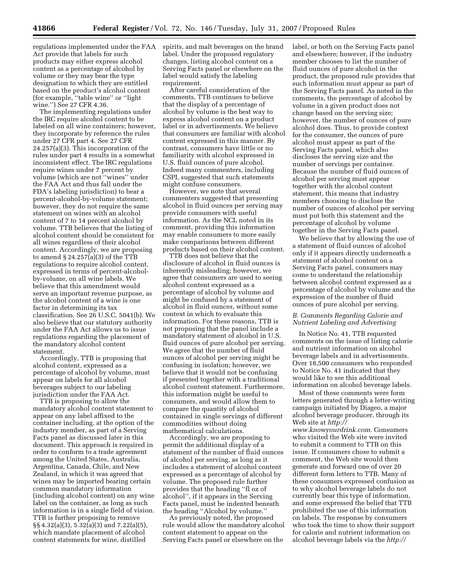regulations implemented under the FAA Act provide that labels for such products may either express alcohol content as a percentage of alcohol by volume or they may bear the type designation to which they are entitled based on the product's alcohol content (for example, ''table wine'' or ''light wine.'') See 27 CFR 4.36.

The implementing regulations under the IRC require alcohol content to be labeled on all wine containers; however, they incorporate by reference the rules under 27 CFR part 4. See 27 CFR 24.257(a)(3). This incorporation of the rules under part 4 results in a somewhat inconsistent effect. The IRC regulations require wines under 7 percent by volume (which are not ''wines'' under the FAA Act and thus fall under the FDA's labeling jurisdiction) to bear a percent-alcohol-by-volume statement; however, they do not require the same statement on wines with an alcohol content of 7 to 14 percent alcohol by volume. TTB believes that the listing of alcohol content should be consistent for all wines regardless of their alcohol content. Accordingly, we are proposing to amend § 24.257(a)(3) of the TTB regulations to require alcohol content, expressed in terms of percent-alcoholby-volume, on all wine labels. We believe that this amendment would serve an important revenue purpose, as the alcohol content of a wine is one factor in determining its tax classification. See 26 U.S.C. 5041(b). We also believe that our statutory authority under the FAA Act allows us to issue regulations regarding the placement of the mandatory alcohol content statement.

Accordingly, TTB is proposing that alcohol content, expressed as a percentage of alcohol by volume, must appear on labels for all alcohol beverages subject to our labeling jurisdiction under the FAA Act.

TTB is proposing to allow the mandatory alcohol content statement to appear on any label affixed to the container including, at the option of the industry member, as part of a Serving Facts panel as discussed later in this document. This approach is required in order to conform to a trade agreement among the United States, Australia, Argentina, Canada, Chile, and New Zealand, in which it was agreed that wines may be imported bearing certain common mandatory information (including alcohol content) on any wine label on the container, as long as such information is in a single field of vision. TTB is further proposing to remove §§ 4.32(a)(3), 5.32(a)(3) and 7.22(a)(5), which mandate placement of alcohol content statements for wine, distilled

spirits, and malt beverages on the brand label. Under the proposed regulatory changes, listing alcohol content on a Serving Facts panel or elsewhere on the label would satisfy the labeling requirement.

After careful consideration of the comments, TTB continues to believe that the display of a percentage of alcohol by volume is the best way to express alcohol content on a product label or in advertisements. We believe that consumers are familiar with alcohol content expressed in this manner. By contrast, consumers have little or no familiarity with alcohol expressed in U.S. fluid ounces of pure alcohol. Indeed many commenters, including CSPI, suggested that such statements might confuse consumers.

However, we note that several commenters suggested that presenting alcohol in fluid ounces per serving may provide consumers with useful information. As the NCL noted in its comment, providing this information may enable consumers to more easily make comparisons between different products based on their alcohol content.

TTB does not believe that the disclosure of alcohol in fluid ounces is inherently misleading; however, we agree that consumers are used to seeing alcohol content expressed as a percentage of alcohol by volume and might be confused by a statement of alcohol in fluid ounces, without some context in which to evaluate this information. For these reasons, TTB is not proposing that the panel include a mandatory statement of alcohol in U.S. fluid ounces of pure alcohol per serving. We agree that the number of fluid ounces of alcohol per serving might be confusing in isolation; however, we believe that it would not be confusing if presented together with a traditional alcohol content statement. Furthermore, this information might be useful to consumers, and would allow them to compare the quantity of alcohol contained in single servings of different commodities without doing mathematical calculations.

Accordingly, we are proposing to permit the additional display of a statement of the number of fluid ounces of alcohol per serving, as long as it includes a statement of alcohol content expressed as a percentage of alcohol by volume. The proposed rule further provides that the heading ''fl oz of alcohol'', if it appears in the Serving Facts panel, must be indented beneath the heading ''Alcohol by volume.''

As previously noted, the proposed rule would allow the mandatory alcohol content statement to appear on the Serving Facts panel or elsewhere on the

label, or both on the Serving Facts panel and elsewhere; however, if the industry member chooses to list the number of fluid ounces of pure alcohol in the product, the proposed rule provides that such information must appear as part of the Serving Facts panel. As noted in the comments, the percentage of alcohol by volume in a given product does not change based on the serving size; however, the number of ounces of pure alcohol does. Thus, to provide context for the consumer, the ounces of pure alcohol must appear as part of the Serving Facts panel, which also discloses the serving size and the number of servings per container. Because the number of fluid ounces of alcohol per serving must appear together with the alcohol content statement, this means that industry members choosing to disclose the number of ounces of alcohol per serving must put both this statement and the percentage of alcohol by volume together in the Serving Facts panel.

We believe that by allowing the use of a statement of fluid ounces of alcohol only if it appears directly underneath a statement of alcohol content on a Serving Facts panel, consumers may come to understand the relationship between alcohol content expressed as a percentage of alcohol by volume and the expression of the number of fluid ounces of pure alcohol per serving.

#### *B. Comments Regarding Calorie and Nutrient Labeling and Advertising*

In Notice No. 41, TTB requested comments on the issue of listing calorie and nutrient information on alcohol beverage labels and in advertisements. Over 18,500 consumers who responded to Notice No. 41 indicated that they would like to see this additional information on alcohol beverage labels.

Most of these comments were form letters generated through a letter-writing campaign initiated by Diageo, a major alcohol beverage producer, through its Web site at *http://* 

*www.knowyourdrink.com.* Consumers who visited the Web site were invited to submit a comment to TTB on this issue. If consumers chose to submit a comment, the Web site would then generate and forward one of over 20 different form letters to TTB. Many of these consumers expressed confusion as to why alcohol beverage labels do not currently bear this type of information, and some expressed the belief that TTB prohibited the use of this information on labels. The response by consumers who took the time to show their support for calorie and nutrient information on alcohol beverage labels via the *http://*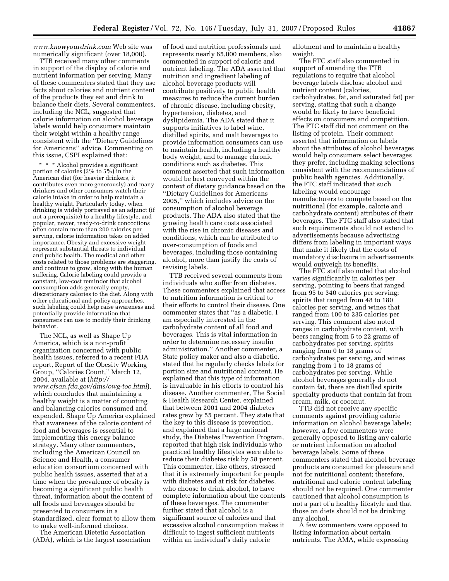*www.knowyourdrink.com* Web site was numerically significant (over 18,000).

TTB received many other comments in support of the display of calorie and nutrient information per serving. Many of these commenters stated that they use facts about calories and nutrient content of the products they eat and drink to balance their diets. Several commenters, including the NCL, suggested that calorie information on alcohol beverage labels would help consumers maintain their weight within a healthy range consistent with the ''Dietary Guidelines for Americans'' advice. Commenting on this issue, CSPI explained that:

\* \* \* Alcohol provides a significant portion of calories (3% to 5%) in the American diet (for heavier drinkers, it contributes even more generously) and many drinkers and other consumers watch their calorie intake in order to help maintain a healthy weight. Particularly today, when drinking is widely portrayed as an adjunct (if not a prerequisite) to a healthy lifestyle, and popular, newer, ready-to-drink concoctions often contain more than 200 calories per serving, calorie information takes on added importance. Obesity and excessive weight represent substantial threats to individual and public health. The medical and other costs related to those problems are staggering, and continue to grow, along with the human suffering. Calorie labeling could provide a constant, low-cost reminder that alcohol consumption adds generally empty, discretionary calories to the diet. Along with other educational and policy approaches, such labeling could help raise awareness and potentially provide information that consumers can use to modify their drinking behavior.

The NCL, as well as Shape Up America, which is a non-profit organization concerned with public health issues, referred to a recent FDA report, Report of the Obesity Working Group, ''Calories Count,'' March 12, 2004, available at (*http:// www.cfsan.fda.gov/dms/owg-toc.html*), which concludes that maintaining a healthy weight is a matter of counting and balancing calories consumed and expended. Shape Up America explained that awareness of the calorie content of food and beverages is essential to implementing this energy balance strategy. Many other commenters, including the American Council on Science and Health, a consumer education consortium concerned with public health issues, asserted that at a time when the prevalence of obesity is becoming a significant public health threat, information about the content of all foods and beverages should be presented to consumers in a standardized, clear format to allow them to make well-informed choices.

The American Dietetic Association (ADA), which is the largest association

of food and nutrition professionals and represents nearly 65,000 members, also commented in support of calorie and nutrient labeling. The ADA asserted that nutrition and ingredient labeling of alcohol beverage products will contribute positively to public health measures to reduce the current burden of chronic disease, including obesity, hypertension, diabetes, and dyslipidemia. The ADA stated that it supports initiatives to label wine, distilled spirits, and malt beverages to provide information consumers can use to maintain health, including a healthy body weight, and to manage chronic conditions such as diabetes. This comment asserted that such information would be best conveyed within the context of dietary guidance based on the ''Dietary Guidelines for Americans 2005,'' which includes advice on the consumption of alcohol beverage products. The ADA also stated that the growing health care costs associated with the rise in chronic diseases and conditions, which can be attributed to over-consumption of foods and beverages, including those containing alcohol, more than justify the costs of revising labels.

TTB received several comments from individuals who suffer from diabetes. These commenters explained that access to nutrition information is critical to their efforts to control their disease. One commenter states that ''as a diabetic, I am especially interested in the carbohydrate content of all food and beverages. This is vital information in order to determine necessary insulin administration.'' Another commenter, a State policy maker and also a diabetic, stated that he regularly checks labels for portion size and nutritional content. He explained that this type of information is invaluable in his efforts to control his disease. Another commenter, The Social & Health Research Center, explained that between 2001 and 2004 diabetes rates grew by 55 percent. They state that the key to this disease is prevention, and explained that a large national study, the Diabetes Prevention Program, reported that high risk individuals who practiced healthy lifestyles were able to reduce their diabetes risk by 58 percent. This commenter, like others, stressed that it is extremely important for people with diabetes and at risk for diabetes, who choose to drink alcohol, to have complete information about the contents of these beverages. The commenter further stated that alcohol is a significant source of calories and that excessive alcohol consumption makes it difficult to ingest sufficient nutrients within an individual's daily calorie

allotment and to maintain a healthy weight.

The FTC staff also commented in support of amending the TTB regulations to require that alcohol beverage labels disclose alcohol and nutrient content (calories, carbohydrates, fat, and saturated fat) per serving, stating that such a change would be likely to have beneficial effects on consumers and competition. The FTC staff did not comment on the listing of protein. Their comment asserted that information on labels about the attributes of alcohol beverages would help consumers select beverages they prefer, including making selections consistent with the recommendations of public health agencies. Additionally, the FTC staff indicated that such labeling would encourage manufacturers to compete based on the nutritional (for example, calorie and carbohydrate content) attributes of their beverages. The FTC staff also stated that such requirements should not extend to advertisements because advertising differs from labeling in important ways that make it likely that the costs of mandatory disclosure in advertisements would outweigh its benefits.

The FTC staff also noted that alcohol varies significantly in calories per serving, pointing to beers that ranged from 95 to 340 calories per serving; spirits that ranged from 48 to 180 calories per serving, and wines that ranged from 100 to 235 calories per serving. This comment also noted ranges in carbohydrate content, with beers ranging from 5 to 22 grams of carbohydrates per serving, spirits ranging from 0 to 18 grams of carbohydrates per serving, and wines ranging from 1 to 18 grams of carbohydrates per serving. While alcohol beverages generally do not contain fat, there are distilled spirits specialty products that contain fat from cream, milk, or coconut.

TTB did not receive any specific comments against providing calorie information on alcohol beverage labels; however, a few commenters were generally opposed to listing any calorie or nutrient information on alcohol beverage labels. Some of these commenters stated that alcohol beverage products are consumed for pleasure and not for nutritional content; therefore, nutritional and calorie content labeling should not be required. One commenter cautioned that alcohol consumption is not a part of a healthy lifestyle and that those on diets should not be drinking any alcohol.

A few commenters were opposed to listing information about certain nutrients. The AMA, while expressing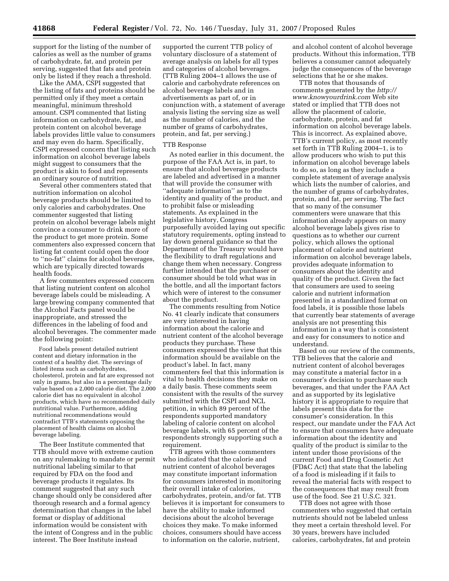support for the listing of the number of calories as well as the number of grams of carbohydrate, fat, and protein per serving, suggested that fats and protein only be listed if they reach a threshold.

Like the AMA, CSPI suggested that the listing of fats and proteins should be permitted only if they meet a certain meaningful, minimum threshold amount. CSPI commented that listing information on carbohydrate, fat, and protein content on alcohol beverage labels provides little value to consumers and may even do harm. Specifically, CSPI expressed concern that listing such information on alcohol beverage labels might suggest to consumers that the product is akin to food and represents an ordinary source of nutrition.

Several other commenters stated that nutrition information on alcohol beverage products should be limited to only calories and carbohydrates. One commenter suggested that listing protein on alcohol beverage labels might convince a consumer to drink more of the product to get more protein. Some commenters also expressed concern that listing fat content could open the door to ''no-fat'' claims for alcohol beverages, which are typically directed towards health foods.

A few commenters expressed concern that listing nutrient content on alcohol beverage labels could be misleading. A large brewing company commented that the Alcohol Facts panel would be inappropriate, and stressed the differences in the labeling of food and alcohol beverages. The commenter made the following point:

Food labels present detailed nutrient content and dietary information in the context of a healthy diet. The servings of listed items such as carbohydrates, cholesterol, protein and fat are expressed not only in grams, but also in a percentage daily value based on a 2,000 calorie diet. The 2,000 calorie diet has no equivalent in alcohol products, which have no recommended daily nutritional value. Furthermore, adding nutritional recommendations would contradict TTB's statements opposing the placement of health claims on alcohol beverage labeling.

The Beer Institute commented that TTB should move with extreme caution on any rulemaking to mandate or permit nutritional labeling similar to that required by FDA on the food and beverage products it regulates. Its comment suggested that any such change should only be considered after thorough research and a formal agency determination that changes in the label format or display of additional information would be consistent with the intent of Congress and in the public interest. The Beer Institute instead

supported the current TTB policy of voluntary disclosure of a statement of average analysis on labels for all types and categories of alcohol beverages. (TTB Ruling 2004-1 allows the use of calorie and carbohydrate references on alcohol beverage labels and in advertisements as part of, or in conjunction with, a statement of average analysis listing the serving size as well as the number of calories, and the number of grams of carbohydrates, protein, and fat, per serving.)

#### TTB Response

As noted earlier in this document, the purpose of the FAA Act is, in part, to ensure that alcohol beverage products are labeled and advertised in a manner that will provide the consumer with ''adequate information'' as to the identity and quality of the product, and to prohibit false or misleading statements. As explained in the legislative history, Congress purposefully avoided laying out specific statutory requirements, opting instead to lay down general guidance so that the Department of the Treasury would have the flexibility to draft regulations and change them when necessary. Congress further intended that the purchaser or consumer should be told what was in the bottle, and all the important factors which were of interest to the consumer about the product.

The comments resulting from Notice No. 41 clearly indicate that consumers are very interested in having information about the calorie and nutrient content of the alcohol beverage products they purchase. These consumers expressed the view that this information should be available on the product's label. In fact, many commenters feel that this information is vital to health decisions they make on a daily basis. These comments seem consistent with the results of the survey submitted with the CSPI and NCL petition, in which 89 percent of the respondents supported mandatory labeling of calorie content on alcohol beverage labels, with 65 percent of the respondents strongly supporting such a requirement.

TTB agrees with those commenters who indicated that the calorie and nutrient content of alcohol beverages may constitute important information for consumers interested in monitoring their overall intake of calories, carbohydrates, protein, and/or fat. TTB believes it is important for consumers to have the ability to make informed decisions about the alcohol beverage choices they make. To make informed choices, consumers should have access to information on the calorie, nutrient,

and alcohol content of alcohol beverage products. Without this information, TTB believes a consumer cannot adequately judge the consequences of the beverage selections that he or she makes.

TTB notes that thousands of comments generated by the *http:// www.knowyourdrink.com* Web site stated or implied that TTB does not allow the placement of calorie, carbohydrate, protein, and fat information on alcohol beverage labels. This is incorrect. As explained above, TTB's current policy, as most recently set forth in TTB Ruling 2004–1, is to allow producers who wish to put this information on alcohol beverage labels to do so, as long as they include a complete statement of average analysis which lists the number of calories, and the number of grams of carbohydrates, protein, and fat, per serving. The fact that so many of the consumer commenters were unaware that this information already appears on many alcohol beverage labels gives rise to questions as to whether our current policy, which allows the optional placement of calorie and nutrient information on alcohol beverage labels, provides adequate information to consumers about the identity and quality of the product. Given the fact that consumers are used to seeing calorie and nutrient information presented in a standardized format on food labels, it is possible those labels that currently bear statements of average analysis are not presenting this information in a way that is consistent and easy for consumers to notice and understand.

Based on our review of the comments, TTB believes that the calorie and nutrient content of alcohol beverages may constitute a material factor in a consumer's decision to purchase such beverages, and that under the FAA Act and as supported by its legislative history it is appropriate to require that labels present this data for the consumer's consideration. In this respect, our mandate under the FAA Act to ensure that consumers have adequate information about the identity and quality of the product is similar to the intent under those provisions of the current Food and Drug Cosmetic Act (FD&C Act) that state that the labeling of a food is misleading if it fails to reveal the material facts with respect to the consequences that may result from use of the food. See 21 U.S.C. 321.

TTB does not agree with those commenters who suggested that certain nutrients should not be labeled unless they meet a certain threshold level. For 30 years, brewers have included calories, carbohydrates, fat and protein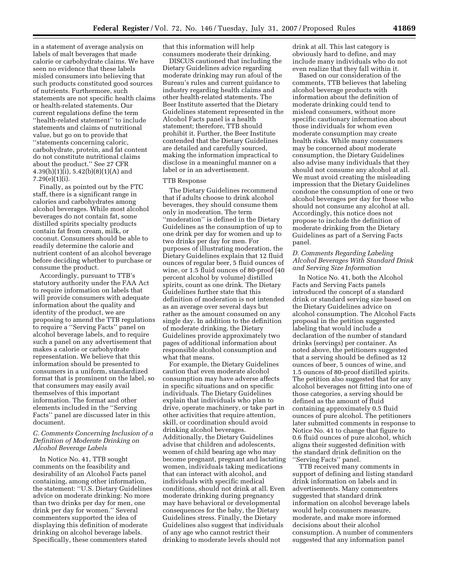in a statement of average analysis on labels of malt beverages that made calorie or carbohydrate claims. We have seen no evidence that these labels misled consumers into believing that such products constituted good sources of nutrients. Furthermore, such statements are not specific health claims or health-related statements. Our current regulations define the term ''health-related statement'' to include statements and claims of nutritional value, but go on to provide that ''statements concerning caloric, carbohydrate, protein, and fat content do not constitute nutritional claims about the product.'' See 27 CFR 4.39(h)(1)(i), 5.42(b)(8)(1)(A) and 7.29(e)(1)(i).

Finally, as pointed out by the FTC staff, there is a significant range in calories and carbohydrates among alcohol beverages. While most alcohol beverages do not contain fat, some distilled spirits specialty products contain fat from cream, milk, or coconut. Consumers should be able to readily determine the calorie and nutrient content of an alcohol beverage before deciding whether to purchase or consume the product.

Accordingly, pursuant to TTB's statutory authority under the FAA Act to require information on labels that will provide consumers with adequate information about the quality and identity of the product, we are proposing to amend the TTB regulations to require a ''Serving Facts'' panel on alcohol beverage labels, and to require such a panel on any advertisement that makes a calorie or carbohydrate representation. We believe that this information should be presented to consumers in a uniform, standardized format that is prominent on the label, so that consumers may easily avail themselves of this important information. The format and other elements included in the ''Serving Facts'' panel are discussed later in this document.

#### *C. Comments Concerning Inclusion of a Definition of Moderate Drinking on Alcohol Beverage Labels*

In Notice No. 41, TTB sought comments on the feasibility and desirability of an Alcohol Facts panel containing, among other information, the statement: ''U.S. Dietary Guidelines advice on moderate drinking: No more than two drinks per day for men, one drink per day for women.'' Several commenters supported the idea of displaying this definition of moderate drinking on alcohol beverage labels. Specifically, these commenters stated

that this information will help consumers moderate their drinking.

DISCUS cautioned that including the Dietary Guidelines advice regarding moderate drinking may run afoul of the Bureau's rules and current guidance to industry regarding health claims and other health-related statements. The Beer Institute asserted that the Dietary Guidelines statement represented in the Alcohol Facts panel is a health statement; therefore, TTB should prohibit it. Further, the Beer Institute contended that the Dietary Guidelines are detailed and carefully sourced, making the information impractical to disclose in a meaningful manner on a label or in an advertisement.

#### TTB Response

The Dietary Guidelines recommend that if adults choose to drink alcohol beverages, they should consume them only in moderation. The term ''moderation'' is defined in the Dietary Guidelines as the consumption of up to one drink per day for women and up to two drinks per day for men. For purposes of illustrating moderation, the Dietary Guidelines explain that 12 fluid ounces of regular beer, 5 fluid ounces of wine, or 1.5 fluid ounces of 80-proof (40 percent alcohol by volume) distilled spirits, count as one drink. The Dietary Guidelines further state that this definition of moderation is not intended as an average over several days but rather as the amount consumed on any single day. In addition to the definition of moderate drinking, the Dietary Guidelines provide approximately two pages of additional information about responsible alcohol consumption and what that means.

For example, the Dietary Guidelines caution that even moderate alcohol consumption may have adverse affects in specific situations and on specific individuals. The Dietary Guidelines explain that individuals who plan to drive, operate machinery, or take part in other activities that require attention, skill, or coordination should avoid drinking alcohol beverages. Additionally, the Dietary Guidelines advise that children and adolescents, women of child bearing age who may become pregnant, pregnant and lactating women, individuals taking medications that can interact with alcohol, and individuals with specific medical conditions, should not drink at all. Even moderate drinking during pregnancy may have behavioral or developmental consequences for the baby, the Dietary Guidelines stress. Finally, the Dietary Guidelines also suggest that individuals of any age who cannot restrict their drinking to moderate levels should not

drink at all. This last category is obviously hard to define, and may include many individuals who do not even realize that they fall within it.

Based on our consideration of the comments, TTB believes that labeling alcohol beverage products with information about the definition of moderate drinking could tend to mislead consumers, without more specific cautionary information about those individuals for whom even moderate consumption may create health risks. While many consumers may be concerned about moderate consumption, the Dietary Guidelines also advise many individuals that they should not consume any alcohol at all. We must avoid creating the misleading impression that the Dietary Guidelines condone the consumption of one or two alcohol beverages per day for those who should not consume any alcohol at all. Accordingly, this notice does not propose to include the definition of moderate drinking from the Dietary Guidelines as part of a Serving Facts panel.

#### *D. Comments Regarding Labeling Alcohol Beverages With Standard Drink and Serving Size Information*

In Notice No. 41, both the Alcohol Facts and Serving Facts panels introduced the concept of a standard drink or standard serving size based on the Dietary Guidelines advice on alcohol consumption. The Alcohol Facts proposal in the petition suggested labeling that would include a declaration of the number of standard drinks (servings) per container. As noted above, the petitioners suggested that a serving should be defined as 12 ounces of beer, 5 ounces of wine, and 1.5 ounces of 80-proof distilled spirits. The petition also suggested that for any alcohol beverages not fitting into one of those categories, a serving should be defined as the amount of fluid containing approximately 0.5 fluid ounces of pure alcohol. The petitioners later submitted comments in response to Notice No. 41 to change that figure to 0.6 fluid ounces of pure alcohol, which aligns their suggested definition with the standard drink definition on the ''Serving Facts'' panel.

TTB received many comments in support of defining and listing standard drink information on labels and in advertisements. Many commenters suggested that standard drink information on alcohol beverage labels would help consumers measure, moderate, and make more informed decisions about their alcohol consumption. A number of commenters suggested that any information panel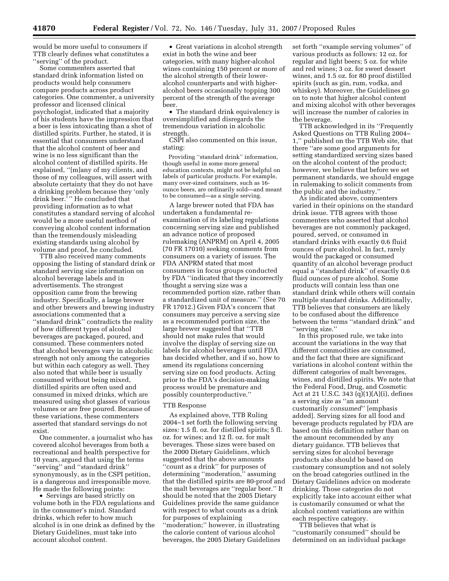would be more useful to consumers if TTB clearly defines what constitutes a ''serving'' of the product.

Some commenters asserted that standard drink information listed on products would help consumers compare products across product categories. One commenter, a university professor and licensed clinical psychologist, indicated that a majority of his students have the impression that a beer is less intoxicating than a shot of distilled spirits. Further, he stated, it is essential that consumers understand that the alcohol content of beer and wine is no less significant than the alcohol content of distilled spirits. He explained, ''[m]any of my clients, and those of my colleagues, will assert with absolute certainty that they do not have a drinking problem because they 'only drink beer.<sup>5</sup>" He concluded that providing information as to what constitutes a standard serving of alcohol would be a more useful method of conveying alcohol content information than the tremendously misleading existing standards using alcohol by volume and proof, he concluded.

TTB also received many comments opposing the listing of standard drink or standard serving size information on alcohol beverage labels and in advertisements. The strongest opposition came from the brewing industry. Specifically, a large brewer and other brewers and brewing industry associations commented that a ''standard drink'' contradicts the reality of how different types of alcohol beverages are packaged, poured, and consumed. These commenters noted that alcohol beverages vary in alcoholic strength not only among the categories but within each category as well. They also noted that while beer is usually consumed without being mixed, distilled spirits are often used and consumed in mixed drinks, which are measured using shot glasses of various volumes or are free poured. Because of these variations, these commenters asserted that standard servings do not exist.

One commenter, a journalist who has covered alcohol beverages from both a recreational and health perspective for 10 years, argued that using the terms ''serving'' and ''standard drink'' synonymously, as in the CSPI petition, is a dangerous and irresponsible move. He made the following points:

• Servings are based strictly on volume both in the FDA regulations and in the consumer's mind. Standard drinks, which refer to how much alcohol is in one drink as defined by the Dietary Guidelines, must take into account alcohol content.

• Great variations in alcohol strength exist in both the wine and beer categories, with many higher-alcohol wines containing 150 percent or more of the alcohol strength of their loweralcohol counterparts and with higheralcohol beers occasionally topping 300 percent of the strength of the average beer.

• The standard drink equivalency is oversimplified and disregards the tremendous variation in alcoholic strength.

CSPI also commented on this issue, stating:

Providing ''standard drink'' information, though useful in some more general education contexts, might not be helpful on labels of particular products. For example, many over-sized containers, such as 16 ounce beers, are ordinarily sold—and meant to be consumed—as a single serving.

A large brewer noted that FDA has undertaken a fundamental reexamination of its labeling regulations concerning serving size and published an advance notice of proposed rulemaking (ANPRM) on April 4, 2005 (70 FR 17010) seeking comments from consumers on a variety of issues. The FDA ANPRM stated that most consumers in focus groups conducted by FDA ''indicated that they incorrectly thought a serving size was a recommended portion size, rather than a standardized unit of measure.'' (See 70 FR 17012.) Given FDA's concern that consumers may perceive a serving size as a recommended portion size, the large brewer suggested that ''TTB should not make rules that would involve the display of serving size on labels for alcohol beverages until FDA has decided whether, and if so, how to amend its regulations concerning serving size on food products. Acting prior to the FDA's decision-making process would be premature and possibly counterproductive.''

#### TTB Response

As explained above, TTB Ruling 2004–1 set forth the following serving sizes: 1.5 fl. oz. for distilled spirits; 5 fl. oz. for wines; and 12 fl. oz. for malt beverages. These sizes were based on the 2000 Dietary Guidelines, which suggested that the above amounts ''count as a drink'' for purposes of determining ''moderation,'' assuming that the distilled spirits are 80-proof and the malt beverages are ''regular beer.'' It should be noted that the 2005 Dietary Guidelines provide the same guidance with respect to what counts as a drink for purposes of explaining ''moderation;'' however, in illustrating the calorie content of various alcohol beverages, the 2005 Dietary Guidelines

set forth ''example serving volumes'' of various products as follows: 12 oz. for regular and light beers; 5 oz. for white and red wines; 3 oz. for sweet dessert wines, and 1.5 oz. for 80 proof distilled spirits (such as gin, rum, vodka, and whiskey). Moreover, the Guidelines go on to note that higher alcohol content and mixing alcohol with other beverages will increase the number of calories in the beverage.

TTB acknowledged in its ''Frequently Asked Questions on TTB Ruling 2004– 1,'' published on the TTB Web site, that there ''are some good arguments for setting standardized serving sizes based on the alcohol content of the product; however, we believe that before we set permanent standards, we should engage in rulemaking to solicit comments from the public and the industry.''

As indicated above, commenters varied in their opinions on the standard drink issue. TTB agrees with those commenters who asserted that alcohol beverages are not commonly packaged, poured, served, or consumed in standard drinks with exactly 0.6 fluid ounces of pure alcohol. In fact, rarely would the packaged or consumed quantity of an alcohol beverage product equal a ''standard drink'' of exactly 0.6 fluid ounces of pure alcohol. Some products will contain less than one standard drink while others will contain multiple standard drinks. Additionally, TTB believes that consumers are likely to be confused about the difference between the terms ''standard drink'' and ''serving size.''

In this proposed rule, we take into account the variations in the way that different commodities are consumed, and the fact that there are significant variations in alcohol content within the different categories of malt beverages, wines, and distilled spirits. We note that the Federal Food, Drug, and Cosmetic Act at 21 U.S.C. 343 (q)(1)(A)(i), defines a serving size as ''an amount customarily *consumed*'' [emphasis added]. Serving sizes for all food and beverage products regulated by FDA are based on this definition rather than on the amount recommended by any dietary guidance. TTB believes that serving sizes for alcohol beverage products also should be based on customary consumption and not solely on the broad categories outlined in the Dietary Guidelines advice on moderate drinking. Those categories do not explicitly take into account either what is customarily consumed or what the alcohol content variations are within each respective category.

TTB believes that what is ''customarily consumed'' should be determined on an individual package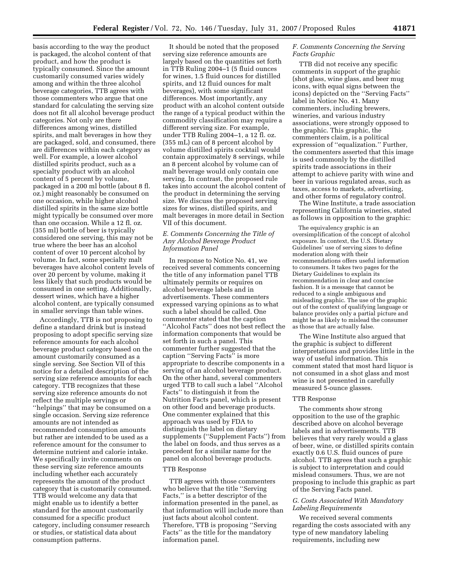basis according to the way the product is packaged, the alcohol content of that product, and how the product is typically consumed. Since the amount customarily consumed varies widely among and within the three alcohol beverage categories, TTB agrees with those commenters who argue that one standard for calculating the serving size does not fit all alcohol beverage product categories. Not only are there differences among wines, distilled spirits, and malt beverages in how they are packaged, sold, and consumed, there are differences within each category as well. For example, a lower alcohol distilled spirits product, such as a specialty product with an alcohol content of 5 percent by volume, packaged in a 200 ml bottle (about 8 fl. oz.) might reasonably be consumed on one occasion, while higher alcohol distilled spirits in the same size bottle might typically be consumed over more than one occasion. While a 12 fl. oz. (355 ml) bottle of beer is typically considered one serving, this may not be true where the beer has an alcohol content of over 10 percent alcohol by volume. In fact, some specialty malt beverages have alcohol content levels of over 20 percent by volume, making it less likely that such products would be consumed in one setting. Additionally, dessert wines, which have a higher alcohol content, are typically consumed in smaller servings than table wines.

Accordingly, TTB is not proposing to define a standard drink but is instead proposing to adopt specific serving size reference amounts for each alcohol beverage product category based on the amount customarily consumed as a single serving. See Section VII of this notice for a detailed description of the serving size reference amounts for each category. TTB recognizes that these serving size reference amounts do not reflect the multiple servings or ''helpings'' that may be consumed on a single occasion. Serving size reference amounts are not intended as recommended consumption amounts but rather are intended to be used as a reference amount for the consumer to determine nutrient and calorie intake. We specifically invite comments on these serving size reference amounts including whether each accurately represents the amount of the product category that is customarily consumed. TTB would welcome any data that might enable us to identify a better standard for the amount customarily consumed for a specific product category, including consumer research or studies, or statistical data about consumption patterns.

It should be noted that the proposed serving size reference amounts are largely based on the quantities set forth in TTB Ruling 2004–1 (5 fluid ounces for wines, 1.5 fluid ounces for distilled spirits, and 12 fluid ounces for malt beverages), with some significant differences. Most importantly, any product with an alcohol content outside the range of a typical product within the commodity classification may require a different serving size. For example, under TTB Ruling 2004–1, a 12 fl. oz. (355 mL) can of 8 percent alcohol by volume distilled spirits cocktail would contain approximately 8 servings, while an 8 percent alcohol by volume can of malt beverage would only contain one serving. In contrast, the proposed rule takes into account the alcohol content of the product in determining the serving size. We discuss the proposed serving sizes for wines, distilled spirits, and malt beverages in more detail in Section VII of this document.

#### *E. Comments Concerning the Title of Any Alcohol Beverage Product Information Panel*

In response to Notice No. 41, we received several comments concerning the title of any information panel TTB ultimately permits or requires on alcohol beverage labels and in advertisements. These commenters expressed varying opinions as to what such a label should be called. One commenter stated that the caption ''Alcohol Facts'' does not best reflect the information components that would be set forth in such a panel. This commenter further suggested that the caption ''Serving Facts'' is more appropriate to describe components in a serving of an alcohol beverage product. On the other hand, several commenters urged TTB to call such a label ''Alcohol Facts'' to distinguish it from the Nutrition Facts panel, which is present on other food and beverage products. One commenter explained that this approach was used by FDA to distinguish the label on dietary supplements (''Supplement Facts'') from the label on foods, and thus serves as a precedent for a similar name for the panel on alcohol beverage products.

#### TTB Response

TTB agrees with those commenters who believe that the title ''Serving Facts,'' is a better descriptor of the information presented in the panel, as that information will include more than just facts about alcohol content. Therefore, TTB is proposing ''Serving Facts'' as the title for the mandatory information panel.

#### *F. Comments Concerning the Serving Facts Graphic*

TTB did not receive any specific comments in support of the graphic (shot glass, wine glass, and beer mug icons, with equal signs between the icons) depicted on the ''Serving Facts'' label in Notice No. 41. Many commenters, including brewers, wineries, and various industry associations, were strongly opposed to the graphic. This graphic, the commenters claim, is a political expression of ''equalization.'' Further, the commenters asserted that this image is used commonly by the distilled spirits trade associations in their attempt to achieve parity with wine and beer in various regulated areas, such as taxes, access to markets, advertising, and other forms of regulatory control.

The Wine Institute, a trade association representing California wineries, stated as follows in opposition to the graphic:

The equivalency graphic is an oversimplification of the concept of alcohol exposure. In context, the U.S. Dietary Guidelines' use of serving sizes to define moderation along with their recommendations offers useful information to consumers. It takes two pages for the Dietary Guidelines to explain its recommendation in clear and concise fashion. It is a message that cannot be reduced to a single ambiguous and misleading graphic. The use of the graphic out of the context of qualifying language or balance provides only a partial picture and might be as likely to mislead the consumer as those that are actually false.

The Wine Institute also argued that the graphic is subject to different interpretations and provides little in the way of useful information. This comment stated that most hard liquor is not consumed in a shot glass and most wine is not presented in carefully measured 5-ounce glasses.

#### TTB Response

The comments show strong opposition to the use of the graphic described above on alcohol beverage labels and in advertisements. TTB believes that very rarely would a glass of beer, wine, or distilled spirits contain exactly 0.6 U.S. fluid ounces of pure alcohol. TTB agrees that such a graphic is subject to interpretation and could mislead consumers. Thus, we are not proposing to include this graphic as part of the Serving Facts panel.

#### *G. Costs Associated With Mandatory Labeling Requirements*

We received several comments regarding the costs associated with any type of new mandatory labeling requirements, including new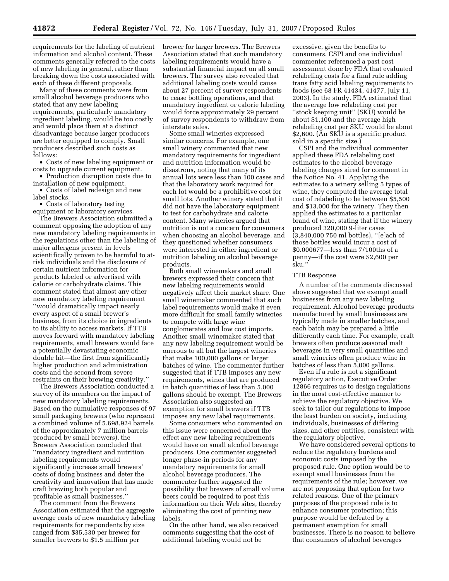requirements for the labeling of nutrient information and alcohol content. These comments generally referred to the costs of new labeling in general, rather than breaking down the costs associated with each of these different proposals.

Many of these comments were from small alcohol beverage producers who stated that any new labeling requirements, particularly mandatory ingredient labeling, would be too costly and would place them at a distinct disadvantage because larger producers are better equipped to comply. Small producers described such costs as follows:

• Costs of new labeling equipment or costs to upgrade current equipment.

• Production disruption costs due to installation of new equipment.

• Costs of label redesign and new label stocks.

• Costs of laboratory testing equipment or laboratory services.

The Brewers Association submitted a comment opposing the adoption of any new mandatory labeling requirements in the regulations other than the labeling of major allergens present in levels scientifically proven to be harmful to atrisk individuals and the disclosure of certain nutrient information for products labeled or advertised with calorie or carbohydrate claims. This comment stated that almost any other new mandatory labeling requirement ''would dramatically impact nearly every aspect of a small brewer's business, from its choice in ingredients to its ability to access markets. If TTB moves forward with mandatory labeling requirements, small brewers would face a potentially devastating economic double hit—the first from significantly higher production and administration costs and the second from severe restraints on their brewing creativity.''

The Brewers Association conducted a survey of its members on the impact of new mandatory labeling requirements. Based on the cumulative responses of 97 small packaging brewers (who represent a combined volume of 5,698,924 barrels of the approximately 7 million barrels produced by small brewers), the Brewers Association concluded that ''mandatory ingredient and nutrition labeling requirements would significantly increase small brewers' costs of doing business and deter the creativity and innovation that has made craft brewing both popular and profitable as small businesses.''

The comment from the Brewers Association estimated that the aggregate average costs of new mandatory labeling requirements for respondents by size ranged from \$35,530 per brewer for smaller brewers to \$1.5 million per

brewer for larger brewers. The Brewers Association stated that such mandatory labeling requirements would have a substantial financial impact on all small brewers. The survey also revealed that additional labeling costs would cause about 27 percent of survey respondents to cease bottling operations, and that mandatory ingredient or calorie labeling would force approximately 29 percent of survey respondents to withdraw from interstate sales.

Some small wineries expressed similar concerns. For example, one small winery commented that new mandatory requirements for ingredient and nutrition information would be disastrous, noting that many of its annual lots were less than 100 cases and that the laboratory work required for each lot would be a prohibitive cost for small lots. Another winery stated that it did not have the laboratory equipment to test for carbohydrate and calorie content. Many wineries argued that nutrition is not a concern for consumers when choosing an alcohol beverage, and they questioned whether consumers were interested in either ingredient or nutrition labeling on alcohol beverage products.

Both small winemakers and small brewers expressed their concern that new labeling requirements would negatively affect their market share. One small winemaker commented that such label requirements would make it even more difficult for small family wineries to compete with large wine conglomerates and low cost imports. Another small winemaker stated that any new labeling requirement would be onerous to all but the largest wineries that make 100,000 gallons or larger batches of wine. The commenter further suggested that if TTB imposes any new requirements, wines that are produced in batch quantities of less than 5,000 gallons should be exempt. The Brewers Association also suggested an exemption for small brewers if TTB imposes any new label requirements.

Some consumers who commented on this issue were concerned about the effect any new labeling requirements would have on small alcohol beverage producers. One commenter suggested longer phase-in periods for any mandatory requirements for small alcohol beverage producers. The commenter further suggested the possibility that brewers of small volume beers could be required to post this information on their Web sites, thereby eliminating the cost of printing new labels.

On the other hand, we also received comments suggesting that the cost of additional labeling would not be

excessive, given the benefits to consumers. CSPI and one individual commenter referenced a past cost assessment done by FDA that evaluated relabeling costs for a final rule adding trans fatty acid labeling requirements to foods (see 68 FR 41434, 41477, July 11, 2003). In the study, FDA estimated that the average low relabeling cost per ''stock keeping unit'' (SKU) would be about \$1,100 and the average high relabeling cost per SKU would be about \$2,600. (An SKU is a specific product sold in a specific size.)

CSPI and the individual commenter applied these FDA relabeling cost estimates to the alcohol beverage labeling changes aired for comment in the Notice No. 41. Applying the estimates to a winery selling 5 types of wine, they computed the average total cost of relabeling to be between \$5,500 and \$13,000 for the winery. They then applied the estimates to a particular brand of wine, stating that if the winery produced 320,000 9-liter cases (3,840,000 750 ml bottles), ''[e]ach of those bottles would incur a cost of \$0.000677—less than 7/100ths of a penny—if the cost were \$2,600 per sku.''

#### TTB Response

A number of the comments discussed above suggested that we exempt small businesses from any new labeling requirement. Alcohol beverage products manufactured by small businesses are typically made in smaller batches, and each batch may be prepared a little differently each time. For example, craft brewers often produce seasonal malt beverages in very small quantities and small wineries often produce wine in batches of less than 5,000 gallons.

Even if a rule is not a significant regulatory action, Executive Order 12866 requires us to design regulations in the most cost-effective manner to achieve the regulatory objective. We seek to tailor our regulations to impose the least burden on society, including individuals, businesses of differing sizes, and other entities, consistent with the regulatory objective.

We have considered several options to reduce the regulatory burdens and economic costs imposed by the proposed rule. One option would be to exempt small businesses from the requirements of the rule; however, we are not proposing that option for two related reasons. One of the primary purposes of the proposed rule is to enhance consumer protection; this purpose would be defeated by a permanent exemption for small businesses. There is no reason to believe that consumers of alcohol beverages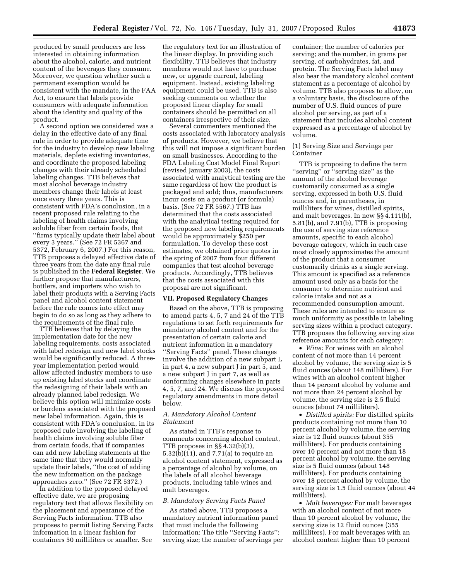produced by small producers are less interested in obtaining information about the alcohol, calorie, and nutrient content of the beverages they consume. Moreover, we question whether such a permanent exemption would be consistent with the mandate, in the FAA Act, to ensure that labels provide consumers with adequate information about the identity and quality of the product.

A second option we considered was a delay in the effective date of any final rule in order to provide adequate time for the industry to develop new labeling materials, deplete existing inventories, and coordinate the proposed labeling changes with their already scheduled labeling changes. TTB believes that most alcohol beverage industry members change their labels at least once every three years. This is consistent with FDA's conclusion, in a recent proposed rule relating to the labeling of health claims involving soluble fiber from certain foods, that ''firms typically update their label about every 3 years.'' (See 72 FR 5367 and 5372, February 6, 2007.) For this reason, TTB proposes a delayed effective date of three years from the date any final rule is published in the **Federal Register**. We further propose that manufacturers, bottlers, and importers who wish to label their products with a Serving Facts panel and alcohol content statement before the rule comes into effect may begin to do so as long as they adhere to the requirements of the final rule.

TTB believes that by delaying the implementation date for the new labeling requirements, costs associated with label redesign and new label stocks would be significantly reduced. A threeyear implementation period would allow affected industry members to use up existing label stocks and coordinate the redesigning of their labels with an already planned label redesign. We believe this option will minimize costs or burdens associated with the proposed new label information. Again, this is consistent with FDA's conclusion, in its proposed rule involving the labeling of health claims involving soluble fiber from certain foods, that if companies can add new labeling statements at the same time that they would normally update their labels, ''the cost of adding the new information on the package approaches zero.'' (See 72 FR 5372.)

In addition to the proposed delayed effective date, we are proposing regulatory text that allows flexibility on the placement and appearance of the Serving Facts information. TTB also proposes to permit listing Serving Facts information in a linear fashion for containers 50 milliliters or smaller. See

the regulatory text for an illustration of the linear display. In providing such flexibility, TTB believes that industry members would not have to purchase new, or upgrade current, labeling equipment. Instead, existing labeling equipment could be used. TTB is also seeking comments on whether the proposed linear display for small containers should be permitted on all containers irrespective of their size.

Several commenters mentioned the costs associated with laboratory analysis of products. However, we believe that this will not impose a significant burden on small businesses. According to the FDA Labeling Cost Model Final Report (revised January 2003), the costs associated with analytical testing are the same regardless of how the product is packaged and sold; thus, manufacturers incur costs on a product (or formula) basis. (See 72 FR 5567.) TTB has determined that the costs associated with the analytical testing required for the proposed new labeling requirements would be approximately \$250 per formulation. To develop these cost estimates, we obtained price quotes in the spring of 2007 from four different companies that test alcohol beverage products. Accordingly, TTB believes that the costs associated with this proposal are not significant.

#### **VII. Proposed Regulatory Changes**

Based on the above, TTB is proposing to amend parts 4, 5, 7 and 24 of the TTB regulations to set forth requirements for mandatory alcohol content and for the presentation of certain calorie and nutrient information in a mandatory ''Serving Facts'' panel. These changes involve the addition of a new subpart L in part 4, a new subpart J in part 5, and a new subpart J in part 7, as well as conforming changes elsewhere in parts 4, 5, 7, and 24. We discuss the proposed regulatory amendments in more detail below.

#### *A. Mandatory Alcohol Content Statement*

As stated in TTB's response to comments concerning alcohol content, TTB proposes in §§ 4.32(b)(3), 5.32(b)(11), and 7.71(a) to require an alcohol content statement, expressed as a percentage of alcohol by volume, on the labels of all alcohol beverage products, including table wines and malt beverages.

#### *B. Mandatory Serving Facts Panel*

As stated above, TTB proposes a mandatory nutrient information panel that must include the following information: The title ''Serving Facts''; serving size; the number of servings per

container; the number of calories per serving; and the number, in grams per serving, of carbohydrates, fat, and protein. The Serving Facts label may also bear the mandatory alcohol content statement as a percentage of alcohol by volume. TTB also proposes to allow, on a voluntary basis, the disclosure of the number of U.S. fluid ounces of pure alcohol per serving, as part of a statement that includes alcohol content expressed as a percentage of alcohol by volume.

#### (1) Serving Size and Servings per Container

TTB is proposing to define the term ''serving'' or ''serving size'' as the amount of the alcohol beverage customarily consumed as a single serving, expressed in both U.S. fluid ounces and, in parentheses, in milliliters for wines, distilled spirits, and malt beverages. In new §§ 4.111(b), 5.81(b), and 7.91(b), TTB is proposing the use of serving size reference amounts, specific to each alcohol beverage category, which in each case most closely approximates the amount of the product that a consumer customarily drinks as a single serving. This amount is specified as a reference amount used only as a basis for the consumer to determine nutrient and calorie intake and not as a recommended consumption amount. These rules are intended to ensure as much uniformity as possible in labeling serving sizes within a product category. TTB proposes the following serving size reference amounts for each category:

• *Wine:* For wines with an alcohol content of not more than 14 percent alcohol by volume, the serving size is 5 fluid ounces (about 148 milliliters). For wines with an alcohol content higher than 14 percent alcohol by volume and not more than 24 percent alcohol by volume, the serving size is 2.5 fluid ounces (about 74 milliliters).

• *Distilled spirits:* For distilled spirits products containing not more than 10 percent alcohol by volume, the serving size is 12 fluid ounces (about 355 milliliters). For products containing over 10 percent and not more than 18 percent alcohol by volume, the serving size is 5 fluid ounces (about 148 milliliters). For products containing over 18 percent alcohol by volume, the serving size is 1.5 fluid ounces (about 44 milliliters).

• *Malt beverages:* For malt beverages with an alcohol content of not more than 10 percent alcohol by volume, the serving size is 12 fluid ounces (355 milliliters). For malt beverages with an alcohol content higher than 10 percent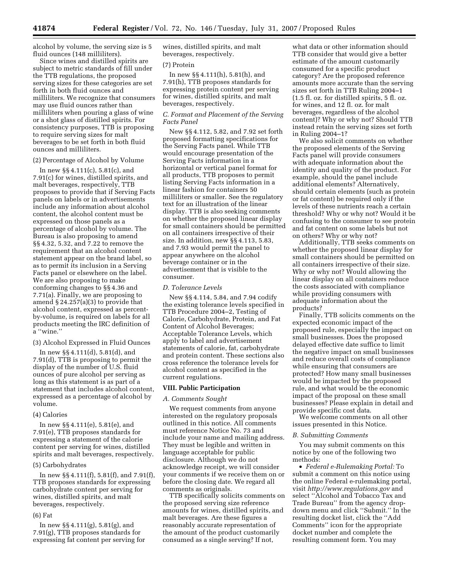alcohol by volume, the serving size is 5 fluid ounces (148 milliliters).

Since wines and distilled spirits are subject to metric standards of fill under the TTB regulations, the proposed serving sizes for these categories are set forth in both fluid ounces and milliliters. We recognize that consumers may use fluid ounces rather than milliliters when pouring a glass of wine or a shot glass of distilled spirits. For consistency purposes, TTB is proposing to require serving sizes for malt beverages to be set forth in both fluid ounces and milliliters.

#### (2) Percentage of Alcohol by Volume

In new §§ 4.111(c), 5.81(c), and 7.91(c) for wines, distilled spirits, and malt beverages, respectively, TTB proposes to provide that if Serving Facts panels on labels or in advertisements include any information about alcohol content, the alcohol content must be expressed on those panels as a percentage of alcohol by volume. The Bureau is also proposing to amend §§ 4.32, 5.32, and 7.22 to remove the requirement that an alcohol content statement appear on the brand label, so as to permit its inclusion in a Serving Facts panel or elsewhere on the label. We are also proposing to make conforming changes to §§ 4.36 and 7.71(a). Finally, we are proposing to amend § 24.257(a)(3) to provide that alcohol content, expressed as percentby-volume, is required on labels for all products meeting the IRC definition of a ''wine.''

#### (3) Alcohol Expressed in Fluid Ounces

In new §§ 4.111(d), 5.81(d), and 7.91(d), TTB is proposing to permit the display of the number of U.S. fluid ounces of pure alcohol per serving as long as this statement is as part of a statement that includes alcohol content, expressed as a percentage of alcohol by volume.

(4) Calories

In new §§ 4.111(e), 5.81(e), and 7.91(e), TTB proposes standards for expressing a statement of the calorie content per serving for wines, distilled spirits and malt beverages, respectively.

#### (5) Carbohydrates

In new §§ 4.111(f), 5.81(f), and 7.91(f), TTB proposes standards for expressing carbohydrate content per serving for wines, distilled spirits, and malt beverages, respectively.

#### (6) Fat

In new §§ 4.111(g), 5.81(g), and 7.91(g), TTB proposes standards for expressing fat content per serving for wines, distilled spirits, and malt beverages, respectively.

#### (7) Protein

In new §§ 4.111(h), 5.81(h), and 7.91(h), TTB proposes standards for expressing protein content per serving for wines, distilled spirits, and malt beverages, respectively.

#### *C. Format and Placement of the Serving Facts Panel*

New §§ 4.112, 5.82, and 7.92 set forth proposed formatting specifications for the Serving Facts panel. While TTB would encourage presentation of the Serving Facts information in a horizontal or vertical panel format for all products, TTB proposes to permit listing Serving Facts information in a linear fashion for containers 50 milliliters or smaller. See the regulatory text for an illustration of the linear display. TTB is also seeking comments on whether the proposed linear display for small containers should be permitted on all containers irrespective of their size. In addition, new §§ 4.113, 5.83, and 7.93 would permit the panel to appear anywhere on the alcohol beverage container or in the advertisement that is visible to the consumer.

#### *D. Tolerance Levels*

New §§ 4.114, 5.84, and 7.94 codify the existing tolerance levels specified in TTB Procedure 2004–2, Testing of Calorie, Carbohydrate, Protein, and Fat Content of Alcohol Beverages; Acceptable Tolerance Levels, which apply to label and advertisement statements of calorie, fat, carbohydrate and protein content. These sections also cross reference the tolerance levels for alcohol content as specified in the current regulations.

#### **VIII. Public Participation**

#### *A. Comments Sought*

We request comments from anyone interested on the regulatory proposals outlined in this notice. All comments must reference Notice No. 73 and include your name and mailing address. They must be legible and written in language acceptable for public disclosure. Although we do not acknowledge receipt, we will consider your comments if we receive them on or before the closing date. We regard all comments as originals.

TTB specifically solicits comments on the proposed serving size reference amounts for wines, distilled spirits, and malt beverages. Are these figures a reasonably accurate representation of the amount of the product customarily consumed as a single serving? If not,

what data or other information should TTB consider that would give a better estimate of the amount customarily consumed for a specific product category? Are the proposed reference amounts more accurate than the serving sizes set forth in TTB Ruling 2004–1 (1.5 fl. oz. for distilled spirits, 5 fl. oz. for wines, and 12 fl. oz. for malt beverages, regardless of the alcohol content)? Why or why not? Should TTB instead retain the serving sizes set forth in Ruling 2004–1?

We also solicit comments on whether the proposed elements of the Serving Facts panel will provide consumers with adequate information about the identity and quality of the product. For example, should the panel include additional elements? Alternatively, should certain elements (such as protein or fat content) be required only if the levels of these nutrients reach a certain threshold? Why or why not? Would it be confusing to the consumer to see protein and fat content on some labels but not on others? Why or why not?

Additionally, TTB seeks comments on whether the proposed linear display for small containers should be permitted on all containers irrespective of their size. Why or why not? Would allowing the linear display on all containers reduce the costs associated with compliance while providing consumers with adequate information about the products?

Finally, TTB solicits comments on the expected economic impact of the proposed rule, especially the impact on small businesses. Does the proposed delayed effective date suffice to limit the negative impact on small businesses and reduce overall costs of compliance while ensuring that consumers are protected? How many small businesses would be impacted by the proposed rule, and what would be the economic impact of the proposal on these small businesses? Please explain in detail and provide specific cost data.

We welcome comments on all other issues presented in this Notice.

#### *B. Submitting Comments*

You may submit comments on this notice by one of the following two methods:

• *Federal e-Rulemaking Portal:* To submit a comment on this notice using the online Federal e-rulemaking portal, visit *http://www.regulations.gov* and select ''Alcohol and Tobacco Tax and Trade Bureau'' from the agency dropdown menu and click ''Submit.'' In the resulting docket list, click the ''Add Comments'' icon for the appropriate docket number and complete the resulting comment form. You may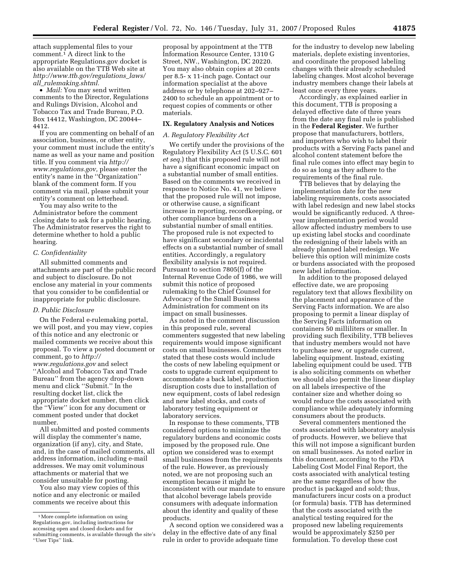attach supplemental files to your comment.1 A direct link to the appropriate Regulations.gov docket is also available on the TTB Web site at *http://www.ttb.gov/regulations*\_*laws/ all*\_*rulemaking.shtml.* 

• *Mail:* You may send written comments to the Director, Regulations and Rulings Division, Alcohol and Tobacco Tax and Trade Bureau, P.O. Box 14412, Washington, DC 20044– 4412.

If you are commenting on behalf of an association, business, or other entity, your comment must include the entity's name as well as your name and position title. If you comment via *http:// www.regulations.gov,* please enter the entity's name in the ''Organization'' blank of the comment form. If you comment via mail, please submit your entity's comment on letterhead.

You may also write to the Administrator before the comment closing date to ask for a public hearing. The Administrator reserves the right to determine whether to hold a public hearing.

#### *C. Confidentiality*

All submitted comments and attachments are part of the public record and subject to disclosure. Do not enclose any material in your comments that you consider to be confidential or inappropriate for public disclosure.

#### *D. Public Disclosure*

On the Federal e-rulemaking portal, we will post, and you may view, copies of this notice and any electronic or mailed comments we receive about this proposal. To view a posted document or comment, go to *http:// www.regulations.gov* and select ''Alcohol and Tobacco Tax and Trade Bureau'' from the agency drop-down menu and click ''Submit.'' In the resulting docket list, click the appropriate docket number, then click the ''View'' icon for any document or comment posted under that docket number.

All submitted and posted comments will display the commenter's name, organization (if any), city, and State, and, in the case of mailed comments, all address information, including e-mail addresses. We may omit voluminous attachments or material that we consider unsuitable for posting.

You also may view copies of this notice and any electronic or mailed comments we receive about this

proposal by appointment at the TTB Information Resource Center, 1310 G Street, NW., Washington, DC 20220. You may also obtain copies at 20 cents per 8.5- x 11-inch page. Contact our information specialist at the above address or by telephone at 202–927– 2400 to schedule an appointment or to request copies of comments or other materials.

#### **IX. Regulatory Analysis and Notices**

#### *A. Regulatory Flexibility Act*

We certify under the provisions of the Regulatory Flexibility Act (5 U.S.C. 601 *et seq.*) that this proposed rule will not have a significant economic impact on a substantial number of small entities. Based on the comments we received in response to Notice No. 41, we believe that the proposed rule will not impose, or otherwise cause, a significant increase in reporting, recordkeeping, or other compliance burdens on a substantial number of small entities. The proposed rule is not expected to have significant secondary or incidental effects on a substantial number of small entities. Accordingly, a regulatory flexibility analysis is not required. Pursuant to section 7805(f) of the Internal Revenue Code of 1986, we will submit this notice of proposed rulemaking to the Chief Counsel for Advocacy of the Small Business Administration for comment on its impact on small businesses.

As noted in the comment discussion in this proposed rule, several commenters suggested that new labeling requirements would impose significant costs on small businesses. Commenters stated that these costs would include the costs of new labeling equipment or costs to upgrade current equipment to accommodate a back label, production disruption costs due to installation of new equipment, costs of label redesign and new label stocks, and costs of laboratory testing equipment or laboratory services.

In response to these comments, TTB considered options to minimize the regulatory burdens and economic costs imposed by the proposed rule. One option we considered was to exempt small businesses from the requirements of the rule. However, as previously noted, we are not proposing such an exemption because it might be inconsistent with our mandate to ensure that alcohol beverage labels provide consumers with adequate information about the identity and quality of these products.

A second option we considered was a delay in the effective date of any final rule in order to provide adequate time

for the industry to develop new labeling materials, deplete existing inventories, and coordinate the proposed labeling changes with their already scheduled labeling changes. Most alcohol beverage industry members change their labels at least once every three years.

Accordingly, as explained earlier in this document, TTB is proposing a delayed effective date of three years from the date any final rule is published in the **Federal Register**. We further propose that manufacturers, bottlers, and importers who wish to label their products with a Serving Facts panel and alcohol content statement before the final rule comes into effect may begin to do so as long as they adhere to the requirements of the final rule.

TTB believes that by delaying the implementation date for the new labeling requirements, costs associated with label redesign and new label stocks would be significantly reduced. A threeyear implementation period would allow affected industry members to use up existing label stocks and coordinate the redesigning of their labels with an already planned label redesign. We believe this option will minimize costs or burdens associated with the proposed new label information.

In addition to the proposed delayed effective date, we are proposing regulatory text that allows flexibility on the placement and appearance of the Serving Facts information. We are also proposing to permit a linear display of the Serving Facts information on containers 50 milliliters or smaller. In providing such flexibility, TTB believes that industry members would not have to purchase new, or upgrade current, labeling equipment. Instead, existing labeling equipment could be used. TTB is also soliciting comments on whether we should also permit the linear display on all labels irrespective of the container size and whether doing so would reduce the costs associated with compliance while adequately informing consumers about the products.

Several commenters mentioned the costs associated with laboratory analysis of products. However, we believe that this will not impose a significant burden on small businesses. As noted earlier in this document, according to the FDA Labeling Cost Model Final Report, the costs associated with analytical testing are the same regardless of how the product is packaged and sold; thus, manufacturers incur costs on a product (or formula) basis. TTB has determined that the costs associated with the analytical testing required for the proposed new labeling requirements would be approximately \$250 per formulation. To develop these cost

<sup>&</sup>lt;sup>1</sup>More complete information on using Regulations.gov, including instructions for accessing open and closed dockets and for submitting comments, is available through the site's ''User Tips'' link.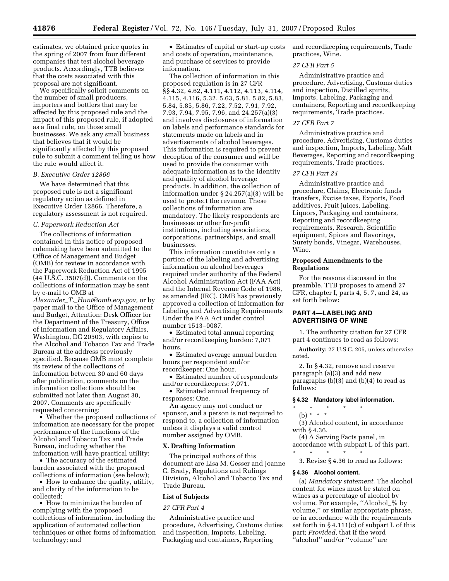estimates, we obtained price quotes in the spring of 2007 from four different companies that test alcohol beverage products. Accordingly, TTB believes that the costs associated with this proposal are not significant.

We specifically solicit comments on the number of small producers, importers and bottlers that may be affected by this proposed rule and the impact of this proposed rule, if adopted as a final rule, on those small businesses. We ask any small business that believes that it would be significantly affected by this proposed rule to submit a comment telling us how the rule would affect it.

#### *B. Executive Order 12866*

We have determined that this proposed rule is not a significant regulatory action as defined in Executive Order 12866. Therefore, a regulatory assessment is not required.

#### *C. Paperwork Reduction Act*

The collections of information contained in this notice of proposed rulemaking have been submitted to the Office of Management and Budget (OMB) for review in accordance with the Paperwork Reduction Act of 1995 (44 U.S.C. 3507(d)). Comments on the collections of information may be sent by e-mail to OMB at

*Alexander*\_*T.*\_*Hunt@omb.eop.gov,* or by paper mail to the Office of Management and Budget, Attention: Desk Officer for the Department of the Treasury, Office of Information and Regulatory Affairs, Washington, DC 20503, with copies to the Alcohol and Tobacco Tax and Trade Bureau at the address previously specified. Because OMB must complete its review of the collections of information between 30 and 60 days after publication, comments on the information collections should be submitted not later than August 30, 2007. Comments are specifically requested concerning:

• Whether the proposed collections of information are necessary for the proper performance of the functions of the Alcohol and Tobacco Tax and Trade Bureau, including whether the information will have practical utility;

• The accuracy of the estimated burden associated with the proposed collections of information (see below);

• How to enhance the quality, utility, and clarity of the information to be collected;

• How to minimize the burden of complying with the proposed collections of information, including the application of automated collection techniques or other forms of information technology; and

• Estimates of capital or start-up costs and costs of operation, maintenance, and purchase of services to provide information.

The collection of information in this proposed regulation is in 27 CFR §§ 4.32, 4.62, 4.111, 4.112, 4.113, 4.114, 4.115, 4.116, 5.32, 5.63, 5.81, 5.82, 5.83, 5.84, 5.85, 5.86, 7.22, 7.52, 7.91, 7.92, 7.93, 7.94, 7.95, 7.96, and 24.257(a)(3) and involves disclosures of information on labels and performance standards for statements made on labels and in advertisements of alcohol beverages. This information is required to prevent deception of the consumer and will be used to provide the consumer with adequate information as to the identity and quality of alcohol beverage products. In addition, the collection of information under § 24.257(a)(3) will be used to protect the revenue. These collections of information are mandatory. The likely respondents are businesses or other for-profit institutions, including associations, corporations, partnerships, and small businesses.

This information constitutes only a portion of the labeling and advertising information on alcohol beverages required under authority of the Federal Alcohol Administration Act (FAA Act) and the Internal Revenue Code of 1986, as amended (IRC). OMB has previously approved a collection of information for Labeling and Advertising Requirements Under the FAA Act under control number 1513–0087.

• Estimated total annual reporting and/or recordkeeping burden: 7,071 hours.

• Estimated average annual burden hours per respondent and/or recordkeeper: One hour.

• Estimated number of respondents and/or recordkeepers: 7,071.

• Estimated annual frequency of responses: One.

An agency may not conduct or sponsor, and a person is not required to respond to, a collection of information unless it displays a valid control number assigned by OMB.

#### **X. Drafting Information**

The principal authors of this document are Lisa M. Gesser and Joanne C. Brady, Regulations and Rulings Division, Alcohol and Tobacco Tax and Trade Bureau.

#### **List of Subjects**

#### *27 CFR Part 4*

Administrative practice and procedure, Advertising, Customs duties and inspection, Imports, Labeling, Packaging and containers, Reporting

and recordkeeping requirements, Trade practices, Wine.

#### *27 CFR Part 5*

Administrative practice and procedure, Advertising, Customs duties and inspection, Distilled spirits, Imports, Labeling, Packaging and containers, Reporting and recordkeeping requirements, Trade practices.

#### *27 CFR Part 7*

Administrative practice and procedure, Advertising, Customs duties and inspection, Imports, Labeling, Malt Beverages, Reporting and recordkeeping requirements, Trade practices.

#### *27 CFR Part 24*

Administrative practice and procedure, Claims, Electronic funds transfers, Excise taxes, Exports, Food additives, Fruit juices, Labeling, Liquors, Packaging and containers, Reporting and recordkeeping requirements, Research, Scientific equipment, Spices and flavorings, Surety bonds, Vinegar, Warehouses, Wine.

#### **Proposed Amendments to the Regulations**

For the reasons discussed in the preamble, TTB proposes to amend 27 CFR, chapter I, parts 4, 5, 7, and 24, as set forth below:

#### **PART 4—LABELING AND ADVERTISING OF WINE**

1. The authority citation for 27 CFR part 4 continues to read as follows:

**Authority:** 27 U.S.C. 205, unless otherwise noted.

2. In § 4.32, remove and reserve paragraph (a)(3) and add new paragraphs (b)(3) and (b)(4) to read as follows:

#### **§ 4.32 Mandatory label information.**

- \* \* \* \* \*
	- (b) \* \* \*

(3) Alcohol content, in accordance with § 4.36.

(4) A Serving Facts panel, in accordance with subpart L of this part. \* \* \* \* \*

3. Revise § 4.36 to read as follows:

#### **§ 4.36 Alcohol content.**

(a) *Mandatory statement.* The alcohol content for wines must be stated on wines as a percentage of alcohol by volume. For example, ''Alcohol\_% by volume,'' or similar appropriate phrase, or in accordance with the requirements set forth in § 4.111(c) of subpart L of this part; *Provided*, that if the word ''alcohol'' and/or ''volume'' are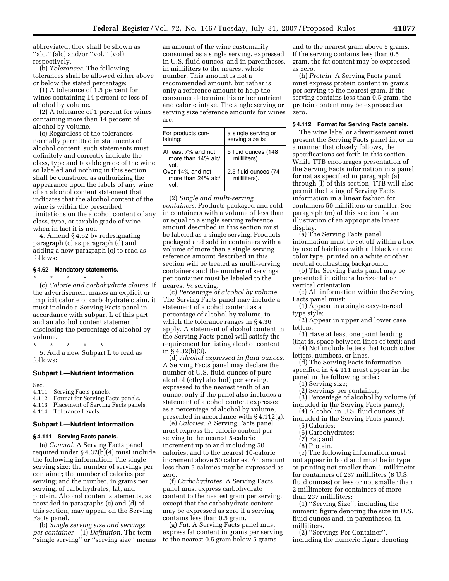abbreviated, they shall be shown as "alc." (alc) and/or "vol." (vol), respectively.

(b) *Tolerances.* The following tolerances shall be allowed either above or below the stated percentage:

(1) A tolerance of 1.5 percent for wines containing 14 percent or less of alcohol by volume.

(2) A tolerance of 1 percent for wines containing more than 14 percent of alcohol by volume.

(c) Regardless of the tolerances normally permitted in statements of alcohol content, such statements must definitely and correctly indicate the class, type and taxable grade of the wine so labeled and nothing in this section shall be construed as authorizing the appearance upon the labels of any wine of an alcohol content statement that indicates that the alcohol content of the wine is within the prescribed limitations on the alcohol content of any class, type, or taxable grade of wine when in fact it is not.

4. Amend § 4.62 by redesignating paragraph (c) as paragraph (d) and adding a new paragraph (c) to read as follows:

#### **§ 4.62 Mandatory statements.**

\* \* \* \* \* (c) *Calorie and carbohydrate claims.* If the advertisement makes an explicit or implicit calorie or carbohydrate claim, it must include a Serving Facts panel in accordance with subpart L of this part and an alcohol content statement disclosing the percentage of alcohol by volume.

\* \* \* \* \*

5. Add a new Subpart L to read as follows:

#### **Subpart L—Nutrient Information**

Sec.

- 4.111 Serving Facts panels.
- 4.112 Format for Serving Facts panels.
- 4.113 Placement of Serving Facts panels.

4.114 Tolerance Levels.

#### **Subpart L—Nutrient Information**

#### **§ 4.111 Serving Facts panels.**

(a) *General.* A Serving Facts panel required under § 4.32(b)(4) must include the following information: The single serving size; the number of servings per container; the number of calories per serving; and the number, in grams per serving, of carbohydrates, fat, and protein. Alcohol content statements, as provided in paragraphs (c) and (d) of this section, may appear on the Serving Facts panel.

(b) *Single serving size and servings per container*—(1) *Definition.* The term ''single serving'' or ''serving size'' means

an amount of the wine customarily consumed as a single serving, expressed in U.S. fluid ounces, and in parentheses, in milliliters to the nearest whole number. This amount is not a recommended amount, but rather is only a reference amount to help the consumer determine his or her nutrient and calorie intake. The single serving or serving size reference amounts for wines are:

| For products con-<br>taining:                     | a single serving or<br>serving size is: |
|---------------------------------------------------|-----------------------------------------|
| At least 7% and not<br>more than 14% alc/<br>vol. | 5 fluid ounces (148<br>milliliters).    |
| Over 14% and not<br>more than 24% alc/<br>vol.    | 2.5 fluid ounces (74<br>milliliters).   |

(2) *Single and multi-serving containers.* Products packaged and sold in containers with a volume of less than or equal to a single serving reference amount described in this section must be labeled as a single serving. Products packaged and sold in containers with a volume of more than a single serving reference amount described in this section will be treated as multi-serving containers and the number of servings per container must be labeled to the nearest 1⁄4 serving.

(c) *Percentage of alcohol by volume.*  The Serving Facts panel may include a statement of alcohol content as a percentage of alcohol by volume, to which the tolerance ranges in § 4.36 apply. A statement of alcohol content in the Serving Facts panel will satisfy the requirement for listing alcohol content in  $§$  4.32(b)(3).

(d) *Alcohol expressed in fluid ounces.*  A Serving Facts panel may declare the number of U.S. fluid ounces of pure alcohol (ethyl alcohol) per serving, expressed to the nearest tenth of an ounce, only if the panel also includes a statement of alcohol content expressed as a percentage of alcohol by volume, presented in accordance with § 4.112(g).

(e) *Calories.* A Serving Facts panel must express the calorie content per serving to the nearest 5-calorie increment up to and including 50 calories, and to the nearest 10-calorie increment above 50 calories. An amount less than 5 calories may be expressed as zero.

(f) *Carbohydrates.* A Serving Facts panel must express carbohydrate content to the nearest gram per serving, except that the carbohydrate content may be expressed as zero if a serving contains less than 0.5 gram.

(g) *Fat.* A Serving Facts panel must express fat content in grams per serving to the nearest 0.5 gram below 5 grams

and to the nearest gram above 5 grams. If the serving contains less than 0.5 gram, the fat content may be expressed as zero.

(h) *Protein.* A Serving Facts panel must express protein content in grams per serving to the nearest gram. If the serving contains less than 0.5 gram, the protein content may be expressed as zero.

#### **§ 4.112 Format for Serving Facts panels.**

The wine label or advertisement must present the Serving Facts panel in, or in a manner that closely follows, the specifications set forth in this section. While TTB encourages presentation of the Serving Facts information in a panel format as specified in paragraph (a) through (l) of this section, TTB will also permit the listing of Serving Facts information in a linear fashion for containers 50 milliliters or smaller. See paragraph (m) of this section for an illustration of an appropriate linear display.

(a) The Serving Facts panel information must be set off within a box by use of hairlines with all black or one color type, printed on a white or other neutral contrasting background.

(b) The Serving Facts panel may be presented in either a horizontal or vertical orientation.

- (c) All information within the Serving Facts panel must:
- (1) Appear in a single easy-to-read type style;
- (2) Appear in upper and lower case letters;
- (3) Have at least one point leading
- (that is, space between lines of text); and (4) Not include letters that touch other

letters, numbers, or lines. (d) The Serving Facts information

specified in § 4.111 must appear in the panel in the following order:

- (1) Serving size;
- (2) Servings per container;

(3) Percentage of alcohol by volume (if included in the Serving Facts panel);

(4) Alcohol in U.S. fluid ounces (if included in the Serving Facts panel);

- (5) Calories;
- (6) Carbohydrates;
- (7) Fat; and
- (8) Protein.

(e) The following information must not appear in bold and must be in type or printing not smaller than 1 millimeter for containers of 237 milliliters (8 U.S. fluid ounces) or less or not smaller than 2 millimeters for containers of more than 237 milliliters:

(1) ''Serving Size'', including the numeric figure denoting the size in U.S. fluid ounces and, in parentheses, in milliliters.

(2) ''Servings Per Container'', including the numeric figure denoting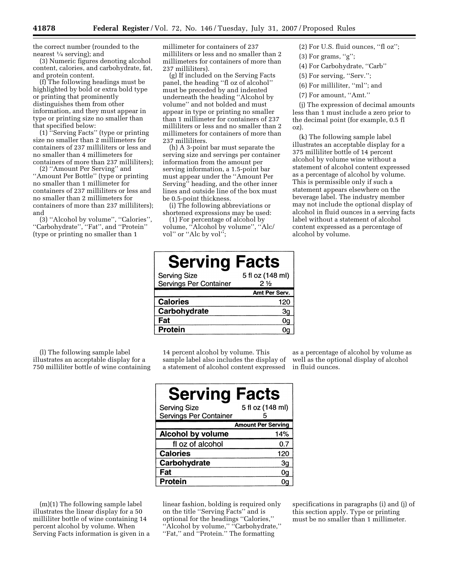the correct number (rounded to the nearest  $\frac{1}{4}$  serving); and

(3) Numeric figures denoting alcohol content, calories, and carbohydrate, fat, and protein content.

(f) The following headings must be highlighted by bold or extra bold type or printing that prominently distinguishes them from other information, and they must appear in type or printing size no smaller than that specified below:

(1) ''Serving Facts'' (type or printing size no smaller than 2 millimeters for containers of 237 milliliters or less and no smaller than 4 millimeters for containers of more than 237 milliliters);

(2) ''Amount Per Serving'' and ''Amount Per Bottle'' (type or printing no smaller than 1 millimeter for containers of 237 milliliters or less and no smaller than 2 millimeters for containers of more than 237 milliliters); and

(3) ''Alcohol by volume'', ''Calories'', ''Carbohydrate'', ''Fat'', and ''Protein'' (type or printing no smaller than 1

millimeter for containers of 237 milliliters or less and no smaller than 2 millimeters for containers of more than 237 milliliters).

(g) If included on the Serving Facts panel, the heading ''fl oz of alcohol'' must be preceded by and indented underneath the heading ''Alcohol by volume'' and not bolded and must appear in type or printing no smaller than 1 millimeter for containers of 237 milliliters or less and no smaller than 2 millimeters for containers of more than 237 milliliters.

(h) A 3-point bar must separate the serving size and servings per container information from the amount per serving information, a 1.5-point bar must appear under the ''Amount Per Serving'' heading, and the other inner lines and outside line of the box must be 0.5-point thickness.

(i) The following abbreviations or shortened expressions may be used:

(1) For percentage of alcohol by volume, ''Alcohol by volume'', ''Alc/ vol" or "Alc by vol";

(2) For U.S. fluid ounces, ''fl oz'';

- $(3)$  For grams, "g";
- (4) For Carbohydrate, ''Carb''
- (5) For serving, ''Serv.'';
- (6) For milliliter, ''ml''; and
- (7) For amount, ''Amt.''

(j) The expression of decimal amounts less than 1 must include a zero prior to the decimal point (for example, 0.5 fl oz).

(k) The following sample label illustrates an acceptable display for a 375 milliliter bottle of 14 percent alcohol by volume wine without a statement of alcohol content expressed as a percentage of alcohol by volume. This is permissible only if such a statement appears elsewhere on the beverage label. The industry member may not include the optional display of alcohol in fluid ounces in a serving facts label without a statement of alcohol content expressed as a percentage of alcohol by volume.

| <b>Serving Facts</b>                          |                        |
|-----------------------------------------------|------------------------|
| <b>Serving Size</b><br>Servings Per Container | 5 fl oz (148 ml)<br>2½ |
|                                               | Amt Per Serv.          |
| <b>Calories</b>                               | 120                    |
| Carbohydrate                                  | Зg                     |
| Fat                                           | 0q                     |
| Protein                                       |                        |

(l) The following sample label illustrates an acceptable display for a 750 milliliter bottle of wine containing

14 percent alcohol by volume. This sample label also includes the display of a statement of alcohol content expressed

as a percentage of alcohol by volume as well as the optional display of alcohol in fluid ounces.

| <b>Serving Facts</b>                          |                           |
|-----------------------------------------------|---------------------------|
| <b>Serving Size</b><br>Servings Per Container | 5 fl oz (148 ml)          |
|                                               | <b>Amount Per Serving</b> |
| Alcohol by volume                             | 14%                       |
| fl oz of alcohol                              | 0.7                       |
| <b>Calories</b>                               | 120                       |
| Carbohydrate                                  | Зg                        |
| Fat                                           | 0q                        |
| Protein                                       |                           |

(m)(1) The following sample label illustrates the linear display for a 50 milliliter bottle of wine containing 14 percent alcohol by volume. When Serving Facts information is given in a linear fashion, bolding is required only on the title ''Serving Facts'' and is optional for the headings ''Calories,'' ''Alcohol by volume,'' ''Carbohydrate,'' ''Fat,'' and ''Protein.'' The formatting

specifications in paragraphs (i) and (j) of this section apply. Type or printing must be no smaller than 1 millimeter.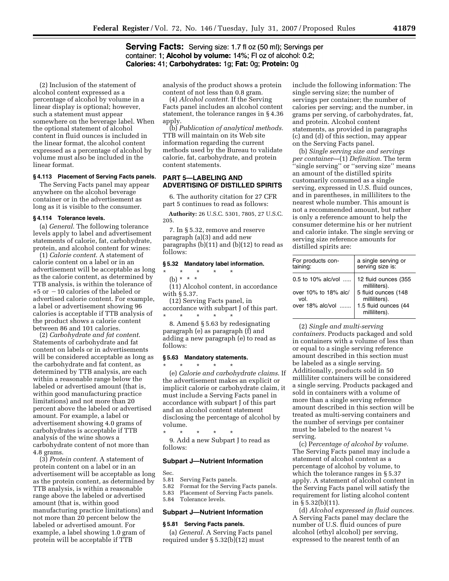#### **Serving Facts:** Serving size: 1.7 fl oz (50 ml); Servings per container: 1; Alcohol by volume: 14%; FI oz of alcohol: 0.2; Calories: 41; Carbohydrates: 1g; Fat: 0g; Protein: 0g

(2) Inclusion of the statement of alcohol content expressed as a percentage of alcohol by volume in a linear display is optional; however, such a statement must appear somewhere on the beverage label. When the optional statement of alcohol content in fluid ounces is included in the linear format, the alcohol content expressed as a percentage of alcohol by volume must also be included in the linear format.

#### **§ 4.113 Placement of Serving Facts panels.**

The Serving Facts panel may appear anywhere on the alcohol beverage container or in the advertisement as long as it is visible to the consumer.

#### **§ 4.114 Tolerance levels.**

(a) *General*. The following tolerance levels apply to label and advertisement statements of calorie, fat, carbohydrate, protein, and alcohol content for wines:

(1) *Calorie content*. A statement of calorie content on a label or in an advertisement will be acceptable as long as the calorie content, as determined by TTB analysis, is within the tolerance of  $+5$  or  $-10$  calories of the labeled or advertised calorie content. For example, a label or advertisement showing 96 calories is acceptable if TTB analysis of the product shows a calorie content between 86 and 101 calories.

(2) *Carbohydrate and fat content*. Statements of carbohydrate and fat content on labels or in advertisements will be considered acceptable as long as the carbohydrate and fat content, as determined by TTB analysis, are each within a reasonable range below the labeled or advertised amount (that is, within good manufacturing practice limitations) and not more than 20 percent above the labeled or advertised amount. For example, a label or advertisement showing 4.0 grams of carbohydrates is acceptable if TTB analysis of the wine shows a carbohydrate content of not more than 4.8 grams.

(3) *Protein content.* A statement of protein content on a label or in an advertisement will be acceptable as long as the protein content, as determined by TTB analysis, is within a reasonable range above the labeled or advertised amount (that is, within good manufacturing practice limitations) and not more than 20 percent below the labeled or advertised amount. For example, a label showing 1.0 gram of protein will be acceptable if TTB

analysis of the product shows a protein content of not less than 0.8 gram.

(4) *Alcohol content.* If the Serving Facts panel includes an alcohol content statement, the tolerance ranges in § 4.36 apply.

(b) *Publication of analytical methods.*  TTB will maintain on its Web site information regarding the current methods used by the Bureau to validate calorie, fat, carbohydrate, and protein content statements.

#### **PART 5—LABELING AND ADVERTISING OF DISTILLED SPIRITS**

6. The authority citation for 27 CFR part 5 continues to read as follows:

**Authority:** 26 U.S.C. 5301, 7805, 27 U.S.C. 205.

7. In § 5.32, remove and reserve paragraph (a)(3) and add new paragraphs (b)(11) and (b)(12) to read as follows:

#### **§ 5.32 Mandatory label information.**

\* \* \* \* \* (b) \* \* \*

(11) Alcohol content, in accordance with § 5.37.

(12) Serving Facts panel, in accordance with subpart J of this part. \* \* \* \* \*

8. Amend § 5.63 by redesignating paragraph (e) as paragraph (f) and adding a new paragraph (e) to read as follows:

#### **§ 5.63 Mandatory statements.**

\* \* \* \* \* (e) *Calorie and carbohydrate claims*. If the advertisement makes an explicit or implicit calorie or carbohydrate claim, it must include a Serving Facts panel in accordance with subpart J of this part and an alcohol content statement disclosing the percentage of alcohol by volume.

\* \* \* \* \* 9. Add a new Subpart J to read as follows:

#### **Subpart J—Nutrient Information**

- Sec.<br>5.81 5.81 Serving Facts panels.<br>5.82 Format for the Servin
- 5.82 Format for the Serving Facts panels.<br>5.83 Placement of Serving Facts panels.
- 5.83 Placement of Serving Facts panels.<br>5.84 Tolerance levels.
- Tolerance levels.

#### **Subpart J—Nutrient Information**

#### **§ 5.81 Serving Facts panels.**

(a) *General.* A Serving Facts panel required under § 5.32(b)(12) must

include the following information: The single serving size; the number of servings per container; the number of calories per serving; and the number, in grams per serving, of carbohydrates, fat, and protein. Alcohol content statements, as provided in paragraphs (c) and (d) of this section, may appear on the Serving Facts panel.

(b) *Single serving size and servings per container*—(1) *Definition.* The term ''single serving'' or ''serving size'' means an amount of the distilled spirits customarily consumed as a single serving, expressed in U.S. fluid ounces, and in parentheses, in milliliters to the nearest whole number. This amount is not a recommended amount, but rather is only a reference amount to help the consumer determine his or her nutrient and calorie intake. The single serving or serving size reference amounts for distilled spirits are:

| For products con-<br>taining:                                             | a single serving or<br>serving size is:                                                                                |
|---------------------------------------------------------------------------|------------------------------------------------------------------------------------------------------------------------|
| 0.5 to 10% alc/vol<br>over 10% to 18% alc/<br>vol.<br>over $18\%$ alc/vol | 12 fluid ounces (355<br>milliliters).<br>5 fluid ounces (148<br>milliliters).<br>1.5 fluid ounces (44<br>milliliters). |

(2) *Single and multi-serving* 

*containers.* Products packaged and sold in containers with a volume of less than or equal to a single serving reference amount described in this section must be labeled as a single serving. Additionally, products sold in 50 milliliter containers will be considered a single serving. Products packaged and sold in containers with a volume of more than a single serving reference amount described in this section will be treated as multi-serving containers and the number of servings per container must be labeled to the nearest 1⁄4 serving.

(c) P*ercentage of alcohol by volume.*  The Serving Facts panel may include a statement of alcohol content as a percentage of alcohol by volume, to which the tolerance ranges in § 5.37 apply. A statement of alcohol content in the Serving Facts panel will satisfy the requirement for listing alcohol content in § 5.32(b)(11).

(d) *Alcohol expressed in fluid ounces.*  A Serving Facts panel may declare the number of U.S. fluid ounces of pure alcohol (ethyl alcohol) per serving, expressed to the nearest tenth of an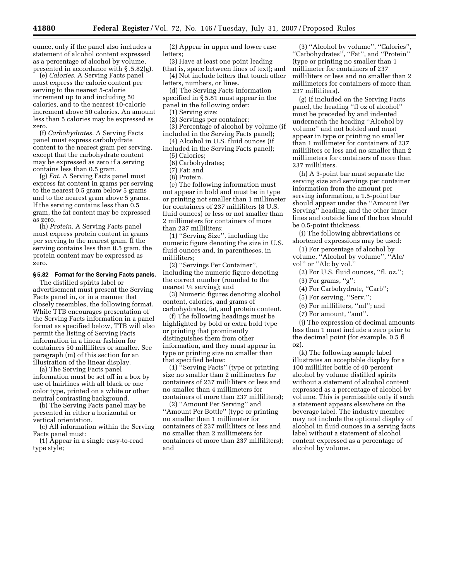ounce, only if the panel also includes a statement of alcohol content expressed as a percentage of alcohol by volume, presented in accordance with § .5.82(g).

(e) *Calories.* A Serving Facts panel must express the calorie content per serving to the nearest 5-calorie increment up to and including 50 calories, and to the nearest 10-calorie increment above 50 calories. An amount less than 5 calories may be expressed as zero.

(f) *Carbohydrates.* A Serving Facts panel must express carbohydrate content to the nearest gram per serving, except that the carbohydrate content may be expressed as zero if a serving contains less than 0.5 gram.

(g) *Fat*. A Serving Facts panel must express fat content in grams per serving to the nearest 0.5 gram below 5 grams and to the nearest gram above 5 grams. If the serving contains less than 0.5 gram, the fat content may be expressed as zero.

(h) *Protein.* A Serving Facts panel must express protein content in grams per serving to the nearest gram. If the serving contains less than 0.5 gram, the protein content may be expressed as zero.

#### **§ 5.82 Format for the Serving Facts panels.**

The distilled spirits label or advertisement must present the Serving Facts panel in, or in a manner that closely resembles, the following format. While TTB encourages presentation of the Serving Facts information in a panel format as specified below, TTB will also permit the listing of Serving Facts information in a linear fashion for containers 50 milliliters or smaller. See paragraph (m) of this section for an illustration of the linear display.

(a) The Serving Facts panel information must be set off in a box by use of hairlines with all black or one color type, printed on a white or other neutral contrasting background.

(b) The Serving Facts panel may be presented in either a horizontal or vertical orientation.

(c) All information within the Serving Facts panel must:

(1) Appear in a single easy-to-read type style;

(2) Appear in upper and lower case letters;

(3) Have at least one point leading (that is, space between lines of text); and (4) Not include letters that touch other

letters, numbers, or lines. (d) The Serving Facts information

specified in § 5.81 must appear in the panel in the following order:

(1) Serving size;

(2) Servings per container;

(3) Percentage of alcohol by volume (if included in the Serving Facts panel);

(4) Alcohol in U.S. fluid ounces (if included in the Serving Facts panel);

(5) Calories;

(6) Carbohydrates;

(7) Fat; and

(8) Protein.

(e) The following information must not appear in bold and must be in type or printing not smaller than 1 millimeter for containers of 237 milliliters (8 U.S. fluid ounces) or less or not smaller than 2 millimeters for containers of more than 237 milliliters:

(1) ''Serving Size'', including the numeric figure denoting the size in U.S. fluid ounces and, in parentheses, in milliliters;

(2) ''Servings Per Container'', including the numeric figure denoting the correct number (rounded to the nearest 1⁄4 serving); and

(3) Numeric figures denoting alcohol content, calories, and grams of carbohydrates, fat, and protein content.

(f) The following headings must be highlighted by bold or extra bold type or printing that prominently distinguishes them from other information, and they must appear in type or printing size no smaller than that specified below:

(1) ''Serving Facts'' (type or printing size no smaller than 2 millimeters for containers of 237 milliliters or less and no smaller than 4 millimeters for containers of more than 237 milliliters);

(2) ''Amount Per Serving'' and ''Amount Per Bottle'' (type or printing no smaller than 1 millimeter for containers of 237 milliliters or less and no smaller than 2 millimeters for containers of more than 237 milliliters); and

(3) ''Alcohol by volume'', ''Calories'', ''Carbohydrates'', ''Fat'', and ''Protein'' (type or printing no smaller than 1 millimeter for containers of 237 milliliters or less and no smaller than 2 millimeters for containers of more than 237 milliliters).

(g) If included on the Serving Facts panel, the heading ''fl oz of alcohol'' must be preceded by and indented underneath the heading ''Alcohol by volume'' and not bolded and must appear in type or printing no smaller than 1 millimeter for containers of 237 milliliters or less and no smaller than 2 millimeters for containers of more than 237 milliliters.

(h) A 3-point bar must separate the serving size and servings per container information from the amount per serving information, a 1.5-point bar should appear under the ''Amount Per Serving'' heading, and the other inner lines and outside line of the box should be 0.5-point thickness.

(i) The following abbreviations or shortened expressions may be used:

(1) For percentage of alcohol by volume, ''Alcohol by volume'', ''Alc/ vol'' or ''Alc by vol.''

(2) For U.S. fluid ounces, ''fl. oz.'';

 $(3)$  For grams, "g";

(4) For Carbohydrate, ''Carb'';

(5) For serving, ''Serv.'';

(6) For milliliters, ''ml''; and

(7) For amount, ''amt''.

(j) The expression of decimal amounts less than 1 must include a zero prior to the decimal point (for example, 0.5 fl oz).

(k) The following sample label illustrates an acceptable display for a 100 milliliter bottle of 40 percent alcohol by volume distilled spirits without a statement of alcohol content expressed as a percentage of alcohol by volume. This is permissible only if such a statement appears elsewhere on the beverage label. The industry member may not include the optional display of alcohol in fluid ounces in a serving facts label without a statement of alcohol content expressed as a percentage of alcohol by volume.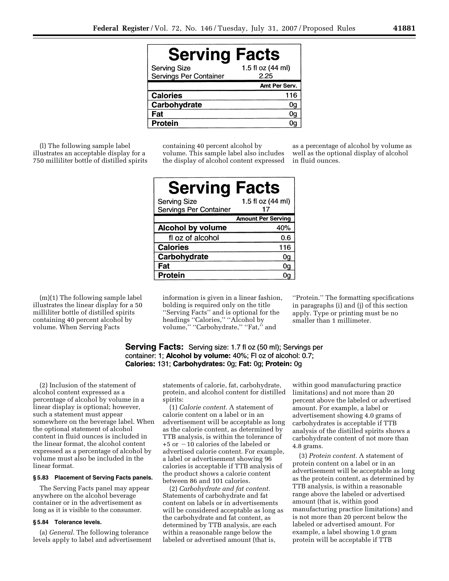| <b>Serving Facts</b>                          |                           |
|-----------------------------------------------|---------------------------|
| <b>Serving Size</b><br>Servings Per Container | 1.5 fl oz (44 ml)<br>2.25 |
|                                               | Amt Per Serv.             |
| <b>Calories</b>                               | 116                       |
| Carbohydrate                                  | 0g                        |
| Fat                                           | 0g                        |
| <b>Protein</b>                                |                           |

(l) The following sample label illustrates an acceptable display for a 750 milliliter bottle of distilled spirits containing 40 percent alcohol by volume. This sample label also includes the display of alcohol content expressed as a percentage of alcohol by volume as well as the optional display of alcohol in fluid ounces.

| <b>Serving Facts</b>                          |                           |
|-----------------------------------------------|---------------------------|
| <b>Serving Size</b><br>Servings Per Container | 1.5 fl oz (44 ml)<br>17   |
|                                               | <b>Amount Per Serving</b> |
| <b>Alcohol by volume</b>                      | 40%                       |
| fl oz of alcohol                              | 0.6                       |
| <b>Calories</b>                               | 116                       |
| Carbohydrate                                  | 0g                        |
| Fat                                           | 0g                        |
| <b>Protein</b>                                |                           |

(m)(1) The following sample label illustrates the linear display for a 50 milliliter bottle of distilled spirits containing 40 percent alcohol by volume. When Serving Facts

information is given in a linear fashion, bolding is required only on the title ''Serving Facts'' and is optional for the headings "Calories," "Alcohol by volume," "Carbohydrate," "Fat," and

''Protein.'' The formatting specifications in paragraphs (i) and (j) of this section apply. Type or printing must be no smaller than 1 millimeter.

**Serving Facts:** Serving size: 1.7 fl oz (50 ml); Servings per container: 1; Alcohol by volume: 40%; FI oz of alcohol: 0.7; Calories: 131; Carbohydrates: 0g; Fat: 0g; Protein: 0g

(2) Inclusion of the statement of alcohol content expressed as a percentage of alcohol by volume in a linear display is optional; however, such a statement must appear somewhere on the beverage label. When the optional statement of alcohol content in fluid ounces is included in the linear format, the alcohol content expressed as a percentage of alcohol by volume must also be included in the linear format.

#### **§ 5.83 Placement of Serving Facts panels.**

The Serving Facts panel may appear anywhere on the alcohol beverage container or in the advertisement as long as it is visible to the consumer.

#### **§ 5.84 Tolerance levels.**

(a) *General.* The following tolerance levels apply to label and advertisement statements of calorie, fat, carbohydrate, protein, and alcohol content for distilled spirits:

(1) *Calorie content.* A statement of calorie content on a label or in an advertisement will be acceptable as long as the calorie content, as determined by TTB analysis, is within the tolerance of  $+5$  or  $-10$  calories of the labeled or advertised calorie content. For example, a label or advertisement showing 96 calories is acceptable if TTB analysis of the product shows a calorie content between 86 and 101 calories.

(2) *Carbohydrate and fat content.*  Statements of carbohydrate and fat content on labels or in advertisements will be considered acceptable as long as the carbohydrate and fat content, as determined by TTB analysis, are each within a reasonable range below the labeled or advertised amount (that is,

within good manufacturing practice limitations) and not more than 20 percent above the labeled or advertised amount. For example, a label or advertisement showing 4.0 grams of carbohydrates is acceptable if TTB analysis of the distilled spirits shows a carbohydrate content of not more than 4.8 grams.

(3) *Protein content.* A statement of protein content on a label or in an advertisement will be acceptable as long as the protein content, as determined by TTB analysis, is within a reasonable range above the labeled or advertised amount (that is, within good manufacturing practice limitations) and is not more than 20 percent below the labeled or advertised amount. For example, a label showing 1.0 gram protein will be acceptable if TTB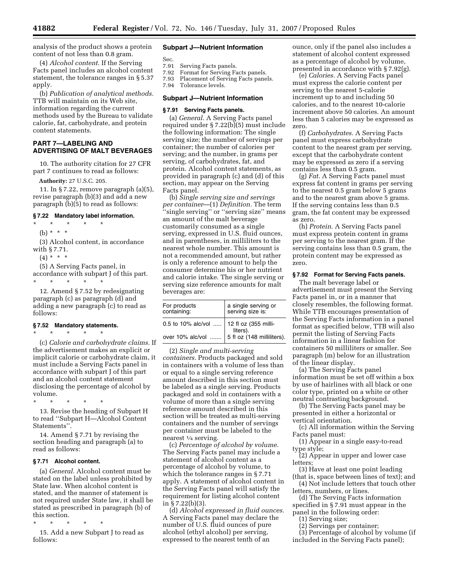analysis of the product shows a protein content of not less than 0.8 gram.

(4) *Alcohol content.* If the Serving Facts panel includes an alcohol content statement, the tolerance ranges in § 5.37 apply.

(b) *Publication of analytical methods.*  TTB will maintain on its Web site, information regarding the current methods used by the Bureau to validate calorie, fat, carbohydrate, and protein content statements.

#### **PART 7—LABELING AND ADVERTISING OF MALT BEVERAGES**

10. The authority citation for 27 CFR part 7 continues to read as follows:

**Authority:** 27 U.S.C. 205.

11. In § 7.22, remove paragraph (a)(5), revise paragraph (b)(3) and add a new paragraph (b)(5) to read as follows:

#### **§ 7.22 Mandatory label information.**

\* \* \* \* \*

(b) \* \* \*

(3) Alcohol content, in accordance with § 7.71.

 $(4) * * * *$ 

(5) A Serving Facts panel, in accordance with subpart J of this part. \* \* \* \* \*

12. Amend § 7.52 by redesignating paragraph (c) as paragraph (d) and adding a new paragraph (c) to read as follows:

#### **§ 7.52 Mandatory statements.**

\* \* \* \* \*

(c) *Calorie and carbohydrate claims.* If the advertisement makes an explicit or implicit calorie or carbohydrate claim, it must include a Serving Facts panel in accordance with subpart J of this part and an alcohol content statement disclosing the percentage of alcohol by volume.

\* \* \* \* \*

13. Revise the heading of Subpart H to read ''Subpart H—Alcohol Content Statements''.

14. Amend § 7.71 by revising the section heading and paragraph (a) to read as follows:

#### **§ 7.71 Alcohol content.**

(a) *General.* Alcohol content must be stated on the label unless prohibited by State law. When alcohol content is stated, and the manner of statement is not required under State law, it shall be stated as prescribed in paragraph (b) of this section.

\* \* \* \* \*

15. Add a new Subpart J to read as follows:

#### **Subpart J—Nutrient Information**

- Sec.<br>7.91 7.91 Serving Facts panels.<br>7.92 Format for Serving Fa
- Format for Serving Facts panels.
- 7.93 Placement of Serving Facts panels.
- 7.94 Tolerance levels.

#### **Subpart J—Nutrient Information**

#### **§ 7.91 Serving Facts panels.**

(a) *General*. A Serving Facts panel required under § 7.22(b)(5) must include the following information: The single serving size; the number of servings per container; the number of calories per serving; and the number, in grams per serving, of carbohydrates, fat, and protein. Alcohol content statements, as provided in paragraph (c) and (d) of this section, may appear on the Serving Facts panel.

(b) *Single serving size and servings per container*—(1) *Definition.* The term ''single serving'' or ''serving size'' means an amount of the malt beverage customarily consumed as a single serving, expressed in U.S. fluid ounces, and in parentheses, in milliliters to the nearest whole number. This amount is not a recommended amount, but rather is only a reference amount to help the consumer determine his or her nutrient and calorie intake. The single serving or serving size reference amounts for malt beverages are:

| For products<br>containing:                                                              | a single serving or<br>serving size is: |
|------------------------------------------------------------------------------------------|-----------------------------------------|
| 0.5 to 10% alc/vol  12 fl oz (355 milli-<br>over 10% alc/vol  5 fl oz (148 milliliters). |                                         |
|                                                                                          |                                         |

(2) *Single and multi-serving containers.* Products packaged and sold in containers with a volume of less than or equal to a single serving reference amount described in this section must be labeled as a single serving. Products packaged and sold in containers with a volume of more than a single serving reference amount described in this section will be treated as multi-serving containers and the number of servings per container must be labeled to the nearest 1/4 serving.

(c) *Percentage of alcohol by volume.*  The Serving Facts panel may include a statement of alcohol content as a percentage of alcohol by volume, to which the tolerance ranges in § 7.71 apply. A statement of alcohol content in the Serving Facts panel will satisfy the requirement for listing alcohol content in § 7.22(b)(3).

(d) *Alcohol expressed in fluid ounces.*  A Serving Facts panel may declare the number of U.S. fluid ounces of pure alcohol (ethyl alcohol) per serving, expressed to the nearest tenth of an

ounce, only if the panel also includes a statement of alcohol content expressed as a percentage of alcohol by volume, presented in accordance with § 7.92(g).

(e) *Calories.* A Serving Facts panel must express the calorie content per serving to the nearest 5-calorie increment up to and including 50 calories, and to the nearest 10-calorie increment above 50 calories. An amount less than 5 calories may be expressed as zero.

(f) *Carbohydrates.* A Serving Facts panel must express carbohydrate content to the nearest gram per serving, except that the carbohydrate content may be expressed as zero if a serving contains less than 0.5 gram.

(g) *Fat*. A Serving Facts panel must express fat content in grams per serving to the nearest 0.5 gram below 5 grams and to the nearest gram above 5 grams. If the serving contains less than 0.5 gram, the fat content may be expressed as zero.

(h) *Protein*. A Serving Facts panel must express protein content in grams per serving to the nearest gram. If the serving contains less than 0.5 gram, the protein content may be expressed as zero.

#### **§ 7.92 Format for Serving Facts panels.**

The malt beverage label or advertisement must present the Serving Facts panel in, or in a manner that closely resembles, the following format. While TTB encourages presentation of the Serving Facts information in a panel format as specified below, TTB will also permit the listing of Serving Facts information in a linear fashion for containers 50 milliliters or smaller. See paragraph (m) below for an illustration of the linear display.

(a) The Serving Facts panel information must be set off within a box by use of hairlines with all black or one color type, printed on a white or other neutral contrasting background.

(b) The Serving Facts panel may be presented in either a horizontal or vertical orientation.

(c) All information within the Serving Facts panel must:

(1) Appear in a single easy-to-read type style;

(2) Appear in upper and lower case letters;

(3) Have at least one point leading

(that is, space between lines of text); and (4) Not include letters that touch other

letters, numbers, or lines. (d) The Serving Facts information

specified in § 7.91 must appear in the panel in the following order:

(1) Serving size;

(2) Servings per container;

(3) Percentage of alcohol by volume (if included in the Serving Facts panel);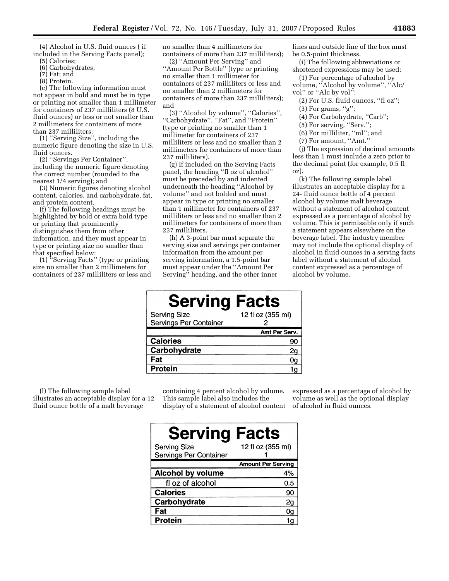(4) Alcohol in U.S. fluid ounces ( if included in the Serving Facts panel);

- (5) Calories;
- (6) Carbohydrates; (7) Fat; and
- (8) Protein.

(e) The following information must not appear in bold and must be in type or printing not smaller than 1 millimeter for containers of 237 milliliters (8 U.S. fluid ounces) or less or not smaller than 2 millimeters for containers of more than 237 milliliters:

(1) ''Serving Size'', including the numeric figure denoting the size in U.S. fluid ounces.

(2) ''Servings Per Container'', including the numeric figure denoting the correct number (rounded to the nearest 1/4 serving); and

(3) Numeric figures denoting alcohol content, calories, and carbohydrate, fat, and protein content.

(f) The following headings must be highlighted by bold or extra bold type or printing that prominently distinguishes them from other information, and they must appear in type or printing size no smaller than that specified below:

(1) ''Serving Facts'' (type or printing size no smaller than 2 millimeters for containers of 237 milliliters or less and no smaller than 4 millimeters for containers of more than 237 milliliters);

(2) ''Amount Per Serving'' and ''Amount Per Bottle'' (type or printing no smaller than 1 millimeter for containers of 237 milliliters or less and no smaller than 2 millimeters for containers of more than 237 milliliters); and

(3) ''Alcohol by volume'', ''Calories'', ''Carbohydrate'', ''Fat'', and ''Protein'' (type or printing no smaller than 1 millimeter for containers of 237 milliliters or less and no smaller than 2 millimeters for containers of more than 237 milliliters).

(g) If included on the Serving Facts panel, the heading ''fl oz of alcohol'' must be preceded by and indented underneath the heading ''Alcohol by volume'' and not bolded and must appear in type or printing no smaller than 1 millimeter for containers of 237 milliliters or less and no smaller than 2 millimeters for containers of more than 237 milliliters.

(h) A 3-point bar must separate the serving size and servings per container information from the amount per serving information, a 1.5-point bar must appear under the ''Amount Per Serving'' heading, and the other inner

|  | lines and outside line of the box must |  |  |  |  |
|--|----------------------------------------|--|--|--|--|
|  | be 0.5-point thickness.                |  |  |  |  |

(i) The following abbreviations or shortened expressions may be used:

(1) For percentage of alcohol by volume, ''Alcohol by volume'', ''Alc/ vol'' or ''Alc by vol'';

(2) For U.S. fluid ounces, ''fl oz'';

- $(3)$  For grams, "g";
- (4) For Carbohydrate, ''Carb'';
- (5) For serving, ''Serv.'';
- (6) For milliliter, ''ml''; and
- (7) For amount, ''Amt.''

(j) The expression of decimal amounts less than 1 must include a zero prior to the decimal point (for example, 0.5 fl oz).

(k) The following sample label illustrates an acceptable display for a 24- fluid ounce bottle of 4 percent alcohol by volume malt beverage without a statement of alcohol content expressed as a percentage of alcohol by volume. This is permissible only if such a statement appears elsewhere on the beverage label. The industry member may not include the optional display of alcohol in fluid ounces in a serving facts label without a statement of alcohol content expressed as a percentage of alcohol by volume.

| <b>Serving Facts</b>   |                   |
|------------------------|-------------------|
| <b>Serving Size</b>    | 12 fl oz (355 ml) |
| Servings Per Container |                   |
|                        | Amt Per Serv.     |
| <b>Calories</b>        | 90                |
| Carbohydrate           | 2g                |
| Fat                    | 0g                |
| Protein                | 1ი                |

(l) The following sample label illustrates an acceptable display for a 12 fluid ounce bottle of a malt beverage

containing 4 percent alcohol by volume. This sample label also includes the display of a statement of alcohol content

expressed as a percentage of alcohol by volume as well as the optional display of alcohol in fluid ounces.

| <b>Serving</b>                                | <b>Facts</b>              |
|-----------------------------------------------|---------------------------|
| <b>Serving Size</b><br>Servings Per Container | 12 fl oz (355 ml)         |
|                                               | <b>Amount Per Serving</b> |
| <b>Alcohol by volume</b>                      | 4%                        |
| fl oz of alcohol                              | 0.5                       |
| <b>Calories</b>                               | 90                        |
| Carbohydrate                                  | 2g                        |
| Fat                                           | 0g                        |
| <b>Protein</b>                                |                           |